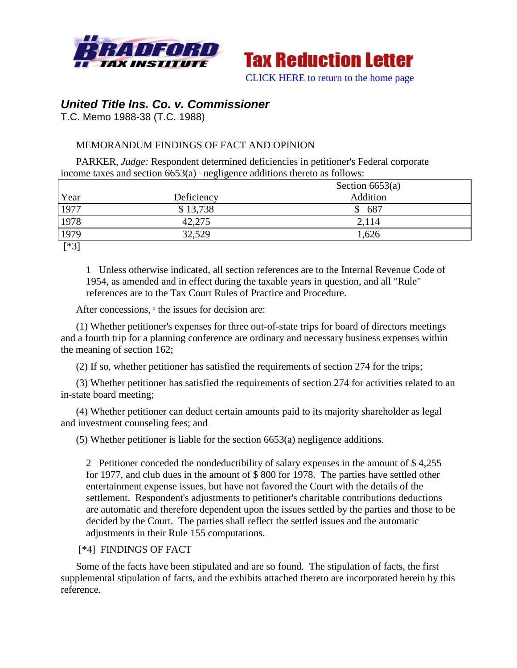



*United Title Ins. Co. v. Commissioner*

T.C. Memo 1988-38 (T.C. 1988)

# MEMORANDUM FINDINGS OF FACT AND OPINION

PARKER, *Judge:* Respondent determined deficiencies in petitioner's Federal corporate income taxes and section  $6653(a)$  <sup>1</sup> negligence additions thereto as follows:

|                 | Section $6653(a)$ |          |  |
|-----------------|-------------------|----------|--|
| Year            | Deficiency        | Addition |  |
| 1977            | \$13,738          | \$687    |  |
| 1978            | 42,275            | 2,114    |  |
| 1979            | 32,529            | 1,626    |  |
| <b>E-14 0 T</b> |                   |          |  |

[\*3]

1 Unless otherwise indicated, all section references are to the Internal Revenue Code of 1954, as amended and in effect during the taxable years in question, and all "Rule" references are to the Tax Court Rules of Practice and Procedure.

After concessions, <sup>2</sup> the issues for decision are:

(1) Whether petitioner's expenses for three out-of-state trips for board of directors meetings and a fourth trip for a planning conference are ordinary and necessary business expenses within the meaning of section 162;

(2) If so, whether petitioner has satisfied the requirements of section 274 for the trips;

(3) Whether petitioner has satisfied the requirements of section 274 for activities related to an in-state board meeting;

(4) Whether petitioner can deduct certain amounts paid to its majority shareholder as legal and investment counseling fees; and

(5) Whether petitioner is liable for the section 6653(a) negligence additions.

2 Petitioner conceded the nondeductibility of salary expenses in the amount of \$ 4,255 for 1977, and club dues in the amount of \$ 800 for 1978. The parties have settled other entertainment expense issues, but have not favored the Court with the details of the settlement. Respondent's adjustments to petitioner's charitable contributions deductions are automatic and therefore dependent upon the issues settled by the parties and those to be decided by the Court. The parties shall reflect the settled issues and the automatic adjustments in their Rule 155 computations.

### [\*4] FINDINGS OF FACT

Some of the facts have been stipulated and are so found. The stipulation of facts, the first supplemental stipulation of facts, and the exhibits attached thereto are incorporated herein by this reference.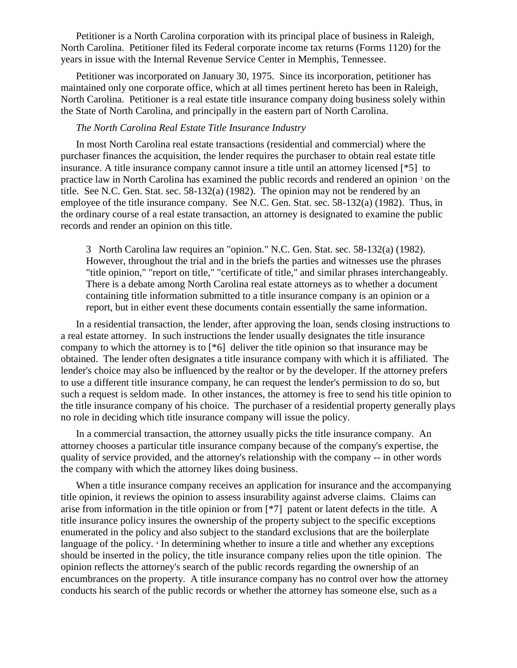Petitioner is a North Carolina corporation with its principal place of business in Raleigh, North Carolina. Petitioner filed its Federal corporate income tax returns (Forms 1120) for the years in issue with the Internal Revenue Service Center in Memphis, Tennessee.

Petitioner was incorporated on January 30, 1975. Since its incorporation, petitioner has maintained only one corporate office, which at all times pertinent hereto has been in Raleigh, North Carolina. Petitioner is a real estate title insurance company doing business solely within the State of North Carolina, and principally in the eastern part of North Carolina.

## *The North Carolina Real Estate Title Insurance Industry*

In most North Carolina real estate transactions (residential and commercial) where the purchaser finances the acquisition, the lender requires the purchaser to obtain real estate title insurance. A title insurance company cannot insure a title until an attorney licensed [\*5] to practice law in North Carolina has examined the public records and rendered an opinion <sup>3</sup> on the title. See N.C. Gen. Stat. sec. 58-132(a) (1982). The opinion may not be rendered by an employee of the title insurance company. See N.C. Gen. Stat. sec. 58-132(a) (1982). Thus, in the ordinary course of a real estate transaction, an attorney is designated to examine the public records and render an opinion on this title.

3 North Carolina law requires an "opinion." N.C. Gen. Stat. sec. 58-132(a) (1982). However, throughout the trial and in the briefs the parties and witnesses use the phrases "title opinion," "report on title," "certificate of title," and similar phrases interchangeably. There is a debate among North Carolina real estate attorneys as to whether a document containing title information submitted to a title insurance company is an opinion or a report, but in either event these documents contain essentially the same information.

In a residential transaction, the lender, after approving the loan, sends closing instructions to a real estate attorney. In such instructions the lender usually designates the title insurance company to which the attorney is to [\*6] deliver the title opinion so that insurance may be obtained. The lender often designates a title insurance company with which it is affiliated. The lender's choice may also be influenced by the realtor or by the developer. If the attorney prefers to use a different title insurance company, he can request the lender's permission to do so, but such a request is seldom made. In other instances, the attorney is free to send his title opinion to the title insurance company of his choice. The purchaser of a residential property generally plays no role in deciding which title insurance company will issue the policy.

In a commercial transaction, the attorney usually picks the title insurance company. An attorney chooses a particular title insurance company because of the company's expertise, the quality of service provided, and the attorney's relationship with the company -- in other words the company with which the attorney likes doing business.

When a title insurance company receives an application for insurance and the accompanying title opinion, it reviews the opinion to assess insurability against adverse claims. Claims can arise from information in the title opinion or from [\*7] patent or latent defects in the title. A title insurance policy insures the ownership of the property subject to the specific exceptions enumerated in the policy and also subject to the standard exclusions that are the boilerplate language of the policy. <sup>4</sup> In determining whether to insure a title and whether any exceptions should be inserted in the policy, the title insurance company relies upon the title opinion. The opinion reflects the attorney's search of the public records regarding the ownership of an encumbrances on the property. A title insurance company has no control over how the attorney conducts his search of the public records or whether the attorney has someone else, such as a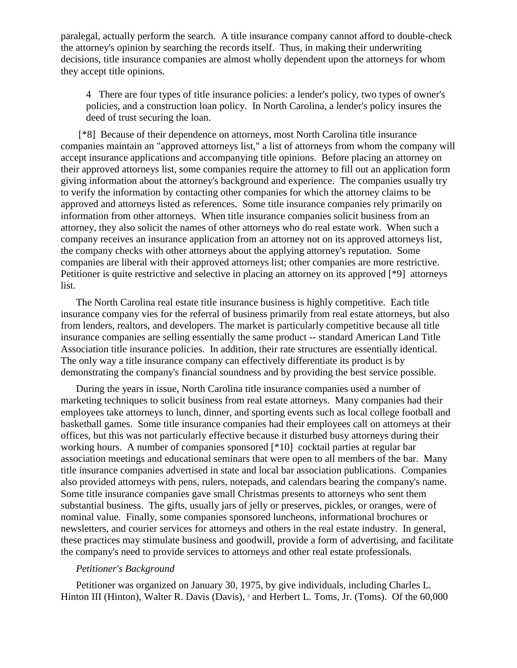paralegal, actually perform the search. A title insurance company cannot afford to double-check the attorney's opinion by searching the records itself. Thus, in making their underwriting decisions, title insurance companies are almost wholly dependent upon the attorneys for whom they accept title opinions.

4 There are four types of title insurance policies: a lender's policy, two types of owner's policies, and a construction loan policy. In North Carolina, a lender's policy insures the deed of trust securing the loan.

[\*8] Because of their dependence on attorneys, most North Carolina title insurance companies maintain an "approved attorneys list," a list of attorneys from whom the company will accept insurance applications and accompanying title opinions. Before placing an attorney on their approved attorneys list, some companies require the attorney to fill out an application form giving information about the attorney's background and experience. The companies usually try to verify the information by contacting other companies for which the attorney claims to be approved and attorneys listed as references. Some title insurance companies rely primarily on information from other attorneys. When title insurance companies solicit business from an attorney, they also solicit the names of other attorneys who do real estate work. When such a company receives an insurance application from an attorney not on its approved attorneys list, the company checks with other attorneys about the applying attorney's reputation. Some companies are liberal with their approved attorneys list; other companies are more restrictive. Petitioner is quite restrictive and selective in placing an attorney on its approved [\*9] attorneys list.

The North Carolina real estate title insurance business is highly competitive. Each title insurance company vies for the referral of business primarily from real estate attorneys, but also from lenders, realtors, and developers. The market is particularly competitive because all title insurance companies are selling essentially the same product -- standard American Land Title Association title insurance policies. In addition, their rate structures are essentially identical. The only way a title insurance company can effectively differentiate its product is by demonstrating the company's financial soundness and by providing the best service possible.

During the years in issue, North Carolina title insurance companies used a number of marketing techniques to solicit business from real estate attorneys. Many companies had their employees take attorneys to lunch, dinner, and sporting events such as local college football and basketball games. Some title insurance companies had their employees call on attorneys at their offices, but this was not particularly effective because it disturbed busy attorneys during their working hours. A number of companies sponsored [\*10] cocktail parties at regular bar association meetings and educational seminars that were open to all members of the bar. Many title insurance companies advertised in state and local bar association publications. Companies also provided attorneys with pens, rulers, notepads, and calendars bearing the company's name. Some title insurance companies gave small Christmas presents to attorneys who sent them substantial business. The gifts, usually jars of jelly or preserves, pickles, or oranges, were of nominal value. Finally, some companies sponsored luncheons, informational brochures or newsletters, and courier services for attorneys and others in the real estate industry. In general, these practices may stimulate business and goodwill, provide a form of advertising, and facilitate the company's need to provide services to attorneys and other real estate professionals.

#### *Petitioner's Background*

Petitioner was organized on January 30, 1975, by give individuals, including Charles L. Hinton III (Hinton), Walter R. Davis (Davis), 5 and Herbert L. Toms, Jr. (Toms). Of the 60,000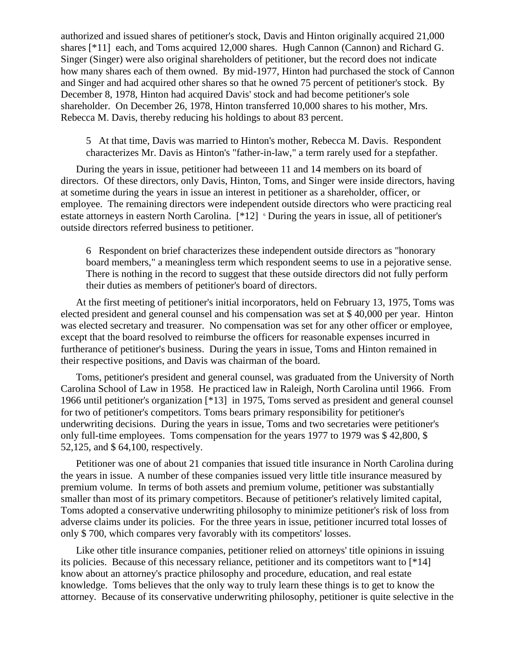authorized and issued shares of petitioner's stock, Davis and Hinton originally acquired 21,000 shares [\*11] each, and Toms acquired 12,000 shares. Hugh Cannon (Cannon) and Richard G. Singer (Singer) were also original shareholders of petitioner, but the record does not indicate how many shares each of them owned. By mid-1977, Hinton had purchased the stock of Cannon and Singer and had acquired other shares so that he owned 75 percent of petitioner's stock. By December 8, 1978, Hinton had acquired Davis' stock and had become petitioner's sole shareholder. On December 26, 1978, Hinton transferred 10,000 shares to his mother, Mrs. Rebecca M. Davis, thereby reducing his holdings to about 83 percent.

5 At that time, Davis was married to Hinton's mother, Rebecca M. Davis. Respondent characterizes Mr. Davis as Hinton's "father-in-law," a term rarely used for a stepfather.

During the years in issue, petitioner had betweeen 11 and 14 members on its board of directors. Of these directors, only Davis, Hinton, Toms, and Singer were inside directors, having at sometime during the years in issue an interest in petitioner as a shareholder, officer, or employee. The remaining directors were independent outside directors who were practicing real estate attorneys in eastern North Carolina. [\*12] <sup>6</sup> During the years in issue, all of petitioner's outside directors referred business to petitioner.

6 Respondent on brief characterizes these independent outside directors as "honorary board members," a meaningless term which respondent seems to use in a pejorative sense. There is nothing in the record to suggest that these outside directors did not fully perform their duties as members of petitioner's board of directors.

At the first meeting of petitioner's initial incorporators, held on February 13, 1975, Toms was elected president and general counsel and his compensation was set at \$ 40,000 per year. Hinton was elected secretary and treasurer. No compensation was set for any other officer or employee, except that the board resolved to reimburse the officers for reasonable expenses incurred in furtherance of petitioner's business. During the years in issue, Toms and Hinton remained in their respective positions, and Davis was chairman of the board.

Toms, petitioner's president and general counsel, was graduated from the University of North Carolina School of Law in 1958. He practiced law in Raleigh, North Carolina until 1966. From 1966 until petitioner's organization [\*13] in 1975, Toms served as president and general counsel for two of petitioner's competitors. Toms bears primary responsibility for petitioner's underwriting decisions. During the years in issue, Toms and two secretaries were petitioner's only full-time employees. Toms compensation for the years 1977 to 1979 was \$ 42,800, \$ 52,125, and \$ 64,100, respectively.

Petitioner was one of about 21 companies that issued title insurance in North Carolina during the years in issue. A number of these companies issued very little title insurance measured by premium volume. In terms of both assets and premium volume, petitioner was substantially smaller than most of its primary competitors. Because of petitioner's relatively limited capital, Toms adopted a conservative underwriting philosophy to minimize petitioner's risk of loss from adverse claims under its policies. For the three years in issue, petitioner incurred total losses of only \$ 700, which compares very favorably with its competitors' losses.

Like other title insurance companies, petitioner relied on attorneys' title opinions in issuing its policies. Because of this necessary reliance, petitioner and its competitors want to [\*14] know about an attorney's practice philosophy and procedure, education, and real estate knowledge. Toms believes that the only way to truly learn these things is to get to know the attorney. Because of its conservative underwriting philosophy, petitioner is quite selective in the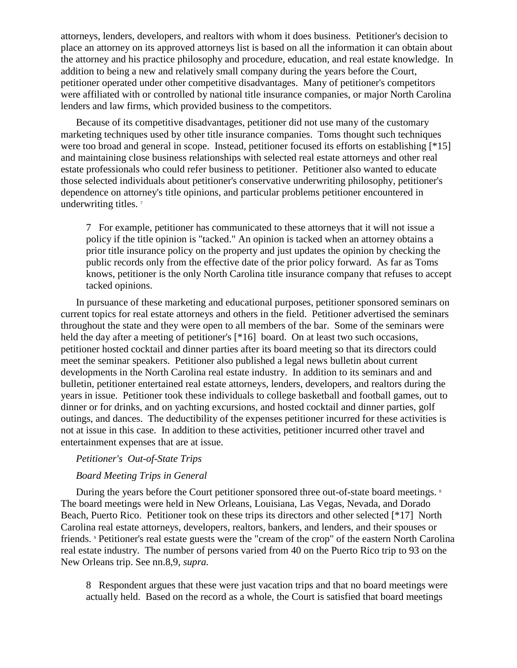attorneys, lenders, developers, and realtors with whom it does business. Petitioner's decision to place an attorney on its approved attorneys list is based on all the information it can obtain about the attorney and his practice philosophy and procedure, education, and real estate knowledge. In addition to being a new and relatively small company during the years before the Court, petitioner operated under other competitive disadvantages. Many of petitioner's competitors were affiliated with or controlled by national title insurance companies, or major North Carolina lenders and law firms, which provided business to the competitors.

Because of its competitive disadvantages, petitioner did not use many of the customary marketing techniques used by other title insurance companies. Toms thought such techniques were too broad and general in scope. Instead, petitioner focused its efforts on establishing [\*15] and maintaining close business relationships with selected real estate attorneys and other real estate professionals who could refer business to petitioner. Petitioner also wanted to educate those selected individuals about petitioner's conservative underwriting philosophy, petitioner's dependence on attorney's title opinions, and particular problems petitioner encountered in underwriting titles.<sup>7</sup>

7 For example, petitioner has communicated to these attorneys that it will not issue a policy if the title opinion is "tacked." An opinion is tacked when an attorney obtains a prior title insurance policy on the property and just updates the opinion by checking the public records only from the effective date of the prior policy forward. As far as Toms knows, petitioner is the only North Carolina title insurance company that refuses to accept tacked opinions.

In pursuance of these marketing and educational purposes, petitioner sponsored seminars on current topics for real estate attorneys and others in the field. Petitioner advertised the seminars throughout the state and they were open to all members of the bar. Some of the seminars were held the day after a meeting of petitioner's [\*16] board. On at least two such occasions, petitioner hosted cocktail and dinner parties after its board meeting so that its directors could meet the seminar speakers. Petitioner also published a legal news bulletin about current developments in the North Carolina real estate industry. In addition to its seminars and and bulletin, petitioner entertained real estate attorneys, lenders, developers, and realtors during the years in issue. Petitioner took these individuals to college basketball and football games, out to dinner or for drinks, and on yachting excursions, and hosted cocktail and dinner parties, golf outings, and dances. The deductibility of the expenses petitioner incurred for these activities is not at issue in this case. In addition to these activities, petitioner incurred other travel and entertainment expenses that are at issue.

#### *Petitioner's Out-of-State Trips*

## *Board Meeting Trips in General*

During the years before the Court petitioner sponsored three out-of-state board meetings. <sup>8</sup> The board meetings were held in New Orleans, Louisiana, Las Vegas, Nevada, and Dorado Beach, Puerto Rico. Petitioner took on these trips its directors and other selected [\*17] North Carolina real estate attorneys, developers, realtors, bankers, and lenders, and their spouses or friends. <sup>9</sup> Petitioner's real estate guests were the "cream of the crop" of the eastern North Carolina real estate industry. The number of persons varied from 40 on the Puerto Rico trip to 93 on the New Orleans trip. See nn.8,9, *supra.*

8 Respondent argues that these were just vacation trips and that no board meetings were actually held. Based on the record as a whole, the Court is satisfied that board meetings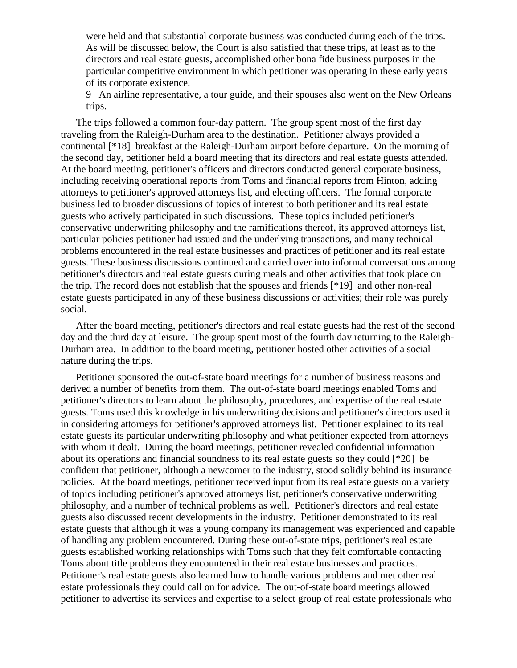were held and that substantial corporate business was conducted during each of the trips. As will be discussed below, the Court is also satisfied that these trips, at least as to the directors and real estate guests, accomplished other bona fide business purposes in the particular competitive environment in which petitioner was operating in these early years of its corporate existence.

9 An airline representative, a tour guide, and their spouses also went on the New Orleans trips.

The trips followed a common four-day pattern. The group spent most of the first day traveling from the Raleigh-Durham area to the destination. Petitioner always provided a continental [\*18] breakfast at the Raleigh-Durham airport before departure. On the morning of the second day, petitioner held a board meeting that its directors and real estate guests attended. At the board meeting, petitioner's officers and directors conducted general corporate business, including receiving operational reports from Toms and financial reports from Hinton, adding attorneys to petitioner's approved attorneys list, and electing officers. The formal corporate business led to broader discussions of topics of interest to both petitioner and its real estate guests who actively participated in such discussions. These topics included petitioner's conservative underwriting philosophy and the ramifications thereof, its approved attorneys list, particular policies petitioner had issued and the underlying transactions, and many technical problems encountered in the real estate businesses and practices of petitioner and its real estate guests. These business discussions continued and carried over into informal conversations among petitioner's directors and real estate guests during meals and other activities that took place on the trip. The record does not establish that the spouses and friends [\*19] and other non-real estate guests participated in any of these business discussions or activities; their role was purely social.

After the board meeting, petitioner's directors and real estate guests had the rest of the second day and the third day at leisure. The group spent most of the fourth day returning to the Raleigh-Durham area. In addition to the board meeting, petitioner hosted other activities of a social nature during the trips.

Petitioner sponsored the out-of-state board meetings for a number of business reasons and derived a number of benefits from them. The out-of-state board meetings enabled Toms and petitioner's directors to learn about the philosophy, procedures, and expertise of the real estate guests. Toms used this knowledge in his underwriting decisions and petitioner's directors used it in considering attorneys for petitioner's approved attorneys list. Petitioner explained to its real estate guests its particular underwriting philosophy and what petitioner expected from attorneys with whom it dealt. During the board meetings, petitioner revealed confidential information about its operations and financial soundness to its real estate guests so they could [\*20] be confident that petitioner, although a newcomer to the industry, stood solidly behind its insurance policies. At the board meetings, petitioner received input from its real estate guests on a variety of topics including petitioner's approved attorneys list, petitioner's conservative underwriting philosophy, and a number of technical problems as well. Petitioner's directors and real estate guests also discussed recent developments in the industry. Petitioner demonstrated to its real estate guests that although it was a young company its management was experienced and capable of handling any problem encountered. During these out-of-state trips, petitioner's real estate guests established working relationships with Toms such that they felt comfortable contacting Toms about title problems they encountered in their real estate businesses and practices. Petitioner's real estate guests also learned how to handle various problems and met other real estate professionals they could call on for advice. The out-of-state board meetings allowed petitioner to advertise its services and expertise to a select group of real estate professionals who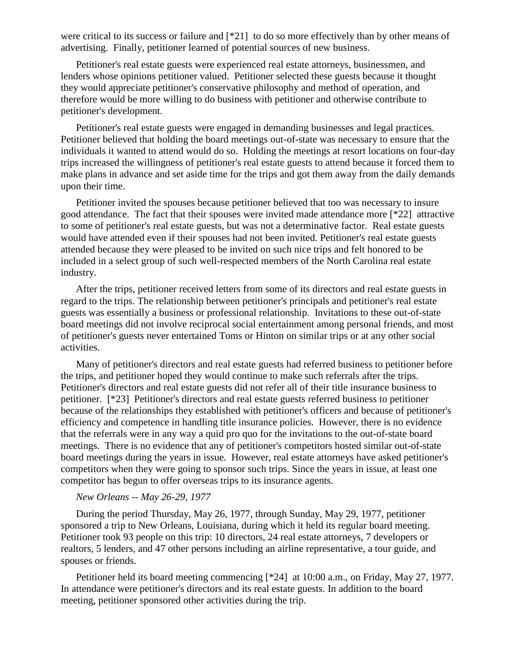were critical to its success or failure and [\*21] to do so more effectively than by other means of advertising. Finally, petitioner learned of potential sources of new business.

Petitioner's real estate guests were experienced real estate attorneys, businessmen, and lenders whose opinions petitioner valued. Petitioner selected these guests because it thought they would appreciate petitioner's conservative philosophy and method of operation, and therefore would be more willing to do business with petitioner and otherwise contribute to petitioner's development.

Petitioner's real estate guests were engaged in demanding businesses and legal practices. Petitioner believed that holding the board meetings out-of-state was necessary to ensure that the individuals it wanted to attend would do so. Holding the meetings at resort locations on four-day trips increased the willingness of petitioner's real estate guests to attend because it forced them to make plans in advance and set aside time for the trips and got them away from the daily demands upon their time.

Petitioner invited the spouses because petitioner believed that too was necessary to insure good attendance. The fact that their spouses were invited made attendance more [\*22] attractive to some of petitioner's real estate guests, but was not a determinative factor. Real estate guests would have attended even if their spouses had not been invited. Petitioner's real estate guests attended because they were pleased to be invited on such nice trips and felt honored to be included in a select group of such well-respected members of the North Carolina real estate industry.

After the trips, petitioner received letters from some of its directors and real estate guests in regard to the trips. The relationship between petitioner's principals and petitioner's real estate guests was essentially a business or professional relationship. Invitations to these out-of-state board meetings did not involve reciprocal social entertainment among personal friends, and most of petitioner's guests never entertained Toms or Hinton on similar trips or at any other social activities.

Many of petitioner's directors and real estate guests had referred business to petitioner before the trips, and petitioner hoped they would continue to make such referrals after the trips. Petitioner's directors and real estate guests did not refer all of their title insurance business to petitioner. [\*23] Petitioner's directors and real estate guests referred business to petitioner because of the relationships they established with petitioner's officers and because of petitioner's efficiency and competence in handling title insurance policies. However, there is no evidence that the referrals were in any way a quid pro quo for the invitations to the out-of-state board meetings. There is no evidence that any of petitioner's competitors hosted similar out-of-state board meetings during the years in issue. However, real estate attorneys have asked petitioner's competitors when they were going to sponsor such trips. Since the years in issue, at least one competitor has begun to offer overseas trips to its insurance agents.

#### *New Orleans -- May 26-29, 1977*

During the period Thursday, May 26, 1977, through Sunday, May 29, 1977, petitioner sponsored a trip to New Orleans, Louisiana, during which it held its regular board meeting. Petitioner took 93 people on this trip: 10 directors, 24 real estate attorneys, 7 developers or realtors, 5 lenders, and 47 other persons including an airline representative, a tour guide, and spouses or friends.

Petitioner held its board meeting commencing [\*24] at 10:00 a.m., on Friday, May 27, 1977. In attendance were petitioner's directors and its real estate guests. In addition to the board meeting, petitioner sponsored other activities during the trip.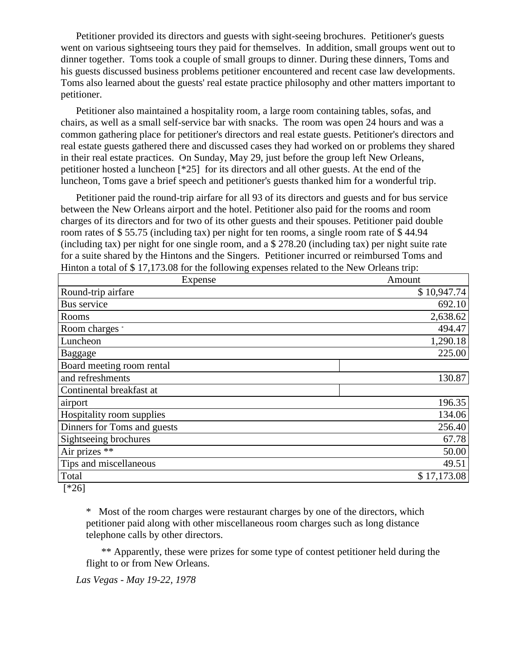Petitioner provided its directors and guests with sight-seeing brochures. Petitioner's guests went on various sightseeing tours they paid for themselves. In addition, small groups went out to dinner together. Toms took a couple of small groups to dinner. During these dinners, Toms and his guests discussed business problems petitioner encountered and recent case law developments. Toms also learned about the guests' real estate practice philosophy and other matters important to petitioner.

Petitioner also maintained a hospitality room, a large room containing tables, sofas, and chairs, as well as a small self-service bar with snacks. The room was open 24 hours and was a common gathering place for petitioner's directors and real estate guests. Petitioner's directors and real estate guests gathered there and discussed cases they had worked on or problems they shared in their real estate practices. On Sunday, May 29, just before the group left New Orleans, petitioner hosted a luncheon [\*25] for its directors and all other guests. At the end of the luncheon, Toms gave a brief speech and petitioner's guests thanked him for a wonderful trip.

Petitioner paid the round-trip airfare for all 93 of its directors and guests and for bus service between the New Orleans airport and the hotel. Petitioner also paid for the rooms and room charges of its directors and for two of its other guests and their spouses. Petitioner paid double room rates of \$ 55.75 (including tax) per night for ten rooms, a single room rate of \$ 44.94 (including tax) per night for one single room, and a \$ 278.20 (including tax) per night suite rate for a suite shared by the Hintons and the Singers. Petitioner incurred or reimbursed Toms and Hinton a total of \$ 17,173.08 for the following expenses related to the New Orleans trip:

| Expense                     | Amount      |
|-----------------------------|-------------|
| Round-trip airfare          | \$10,947.74 |
| Bus service                 | 692.10      |
| Rooms                       | 2,638.62    |
| Room charges *              | 494.47      |
| Luncheon                    | 1,290.18    |
| Baggage                     | 225.00      |
| Board meeting room rental   |             |
| and refreshments            | 130.87      |
| Continental breakfast at    |             |
| airport                     | 196.35      |
| Hospitality room supplies   | 134.06      |
| Dinners for Toms and guests | 256.40      |
| Sightseeing brochures       | 67.78       |
| Air prizes **               | 50.00       |
| Tips and miscellaneous      | 49.51       |
| Total                       | \$17,173.08 |
| $F \times 2C1$              |             |

 $[^*26]$ 

\* Most of the room charges were restaurant charges by one of the directors, which petitioner paid along with other miscellaneous room charges such as long distance telephone calls by other directors.

\*\* Apparently, these were prizes for some type of contest petitioner held during the flight to or from New Orleans.

*Las Vegas - May 19-22, 1978*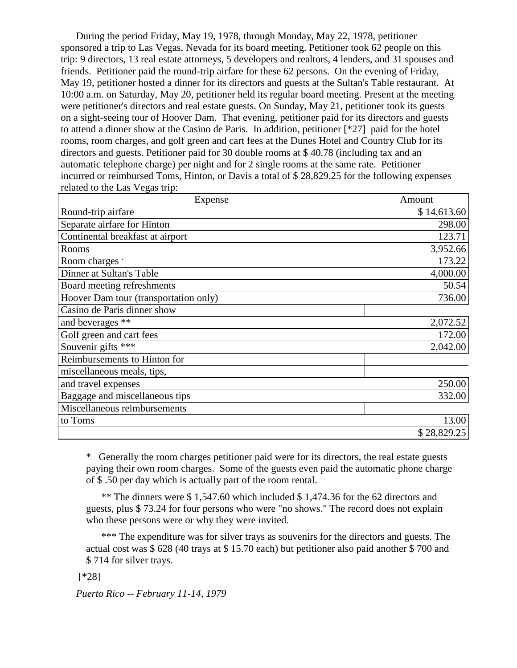During the period Friday, May 19, 1978, through Monday, May 22, 1978, petitioner sponsored a trip to Las Vegas, Nevada for its board meeting. Petitioner took 62 people on this trip: 9 directors, 13 real estate attorneys, 5 developers and realtors, 4 lenders, and 31 spouses and friends. Petitioner paid the round-trip airfare for these 62 persons. On the evening of Friday, May 19, petitioner hosted a dinner for its directors and guests at the Sultan's Table restaurant. At 10:00 a.m. on Saturday, May 20, petitioner held its regular board meeting. Present at the meeting were petitioner's directors and real estate guests. On Sunday, May 21, petitioner took its guests on a sight-seeing tour of Hoover Dam. That evening, petitioner paid for its directors and guests to attend a dinner show at the Casino de Paris. In addition, petitioner [\*27] paid for the hotel rooms, room charges, and golf green and cart fees at the Dunes Hotel and Country Club for its directors and guests. Petitioner paid for 30 double rooms at \$ 40.78 (including tax and an automatic telephone charge) per night and for 2 single rooms at the same rate. Petitioner incurred or reimbursed Toms, Hinton, or Davis a total of \$ 28,829.25 for the following expenses related to the Las Vegas trip:

| Expense                               | Amount      |
|---------------------------------------|-------------|
| Round-trip airfare                    | \$14,613.60 |
| Separate airfare for Hinton           | 298.00      |
| Continental breakfast at airport      | 123.71      |
| Rooms                                 | 3,952.66    |
| Room charges *                        | 173.22      |
| Dinner at Sultan's Table              | 4,000.00    |
| Board meeting refreshments            | 50.54       |
| Hoover Dam tour (transportation only) | 736.00      |
| Casino de Paris dinner show           |             |
| and beverages **                      | 2,072.52    |
| Golf green and cart fees              | 172.00      |
| Souvenir gifts ***                    | 2,042.00    |
| Reimbursements to Hinton for          |             |
| miscellaneous meals, tips,            |             |
| and travel expenses                   | 250.00      |
| Baggage and miscellaneous tips        | 332.00      |
| Miscellaneous reimbursements          |             |
| to Toms                               | 13.00       |
|                                       | \$28,829.25 |

\* Generally the room charges petitioner paid were for its directors, the real estate guests paying their own room charges. Some of the guests even paid the automatic phone charge of \$ .50 per day which is actually part of the room rental.

\*\* The dinners were \$ 1,547.60 which included \$ 1,474.36 for the 62 directors and guests, plus \$ 73.24 for four persons who were "no shows." The record does not explain who these persons were or why they were invited.

\*\*\* The expenditure was for silver trays as souvenirs for the directors and guests. The actual cost was \$ 628 (40 trays at \$ 15.70 each) but petitioner also paid another \$ 700 and \$ 714 for silver trays.

[\*28]

*Puerto Rico -- February 11-14, 1979*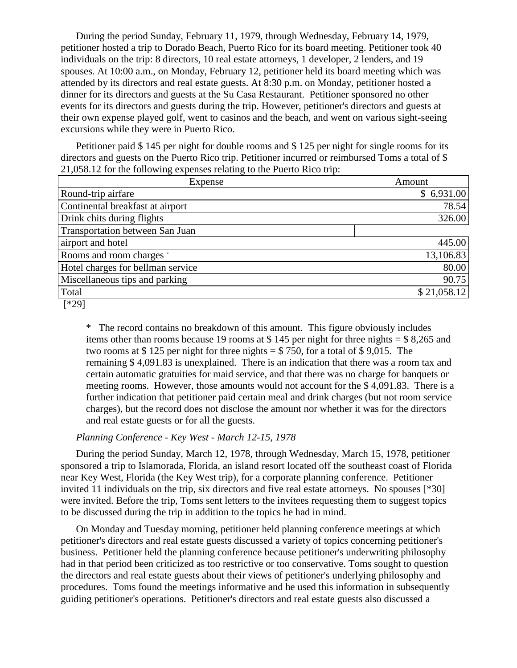During the period Sunday, February 11, 1979, through Wednesday, February 14, 1979, petitioner hosted a trip to Dorado Beach, Puerto Rico for its board meeting. Petitioner took 40 individuals on the trip: 8 directors, 10 real estate attorneys, 1 developer, 2 lenders, and 19 spouses. At 10:00 a.m., on Monday, February 12, petitioner held its board meeting which was attended by its directors and real estate guests. At 8:30 p.m. on Monday, petitioner hosted a dinner for its directors and guests at the Su Casa Restaurant. Petitioner sponsored no other events for its directors and guests during the trip. However, petitioner's directors and guests at their own expense played golf, went to casinos and the beach, and went on various sight-seeing excursions while they were in Puerto Rico.

Petitioner paid \$ 145 per night for double rooms and \$ 125 per night for single rooms for its directors and guests on the Puerto Rico trip. Petitioner incurred or reimbursed Toms a total of \$ 21,058.12 for the following expenses relating to the Puerto Rico trip:

| Expense                           | Amount      |
|-----------------------------------|-------------|
| Round-trip airfare                | \$6,931.00  |
| Continental breakfast at airport  | 78.54       |
| Drink chits during flights        | 326.00      |
| Transportation between San Juan   |             |
| airport and hotel                 | 445.00      |
| Rooms and room charges *          | 13,106.83   |
| Hotel charges for bellman service | 80.00       |
| Miscellaneous tips and parking    | 90.75       |
| Total                             | \$21,058.12 |
| F.H.A.A.                          |             |

[\*29]

\* The record contains no breakdown of this amount. This figure obviously includes items other than rooms because 19 rooms at \$ 145 per night for three nights = \$ 8,265 and two rooms at \$ 125 per night for three nights  $=$  \$ 750, for a total of \$ 9,015. The remaining \$ 4,091.83 is unexplained. There is an indication that there was a room tax and certain automatic gratuities for maid service, and that there was no charge for banquets or meeting rooms. However, those amounts would not account for the \$ 4,091.83. There is a further indication that petitioner paid certain meal and drink charges (but not room service charges), but the record does not disclose the amount nor whether it was for the directors and real estate guests or for all the guests.

#### *Planning Conference - Key West - March 12-15, 1978*

During the period Sunday, March 12, 1978, through Wednesday, March 15, 1978, petitioner sponsored a trip to Islamorada, Florida, an island resort located off the southeast coast of Florida near Key West, Florida (the Key West trip), for a corporate planning conference. Petitioner invited 11 individuals on the trip, six directors and five real estate attorneys. No spouses [\*30] were invited. Before the trip, Toms sent letters to the invitees requesting them to suggest topics to be discussed during the trip in addition to the topics he had in mind.

On Monday and Tuesday morning, petitioner held planning conference meetings at which petitioner's directors and real estate guests discussed a variety of topics concerning petitioner's business. Petitioner held the planning conference because petitioner's underwriting philosophy had in that period been criticized as too restrictive or too conservative. Toms sought to question the directors and real estate guests about their views of petitioner's underlying philosophy and procedures. Toms found the meetings informative and he used this information in subsequently guiding petitioner's operations. Petitioner's directors and real estate guests also discussed a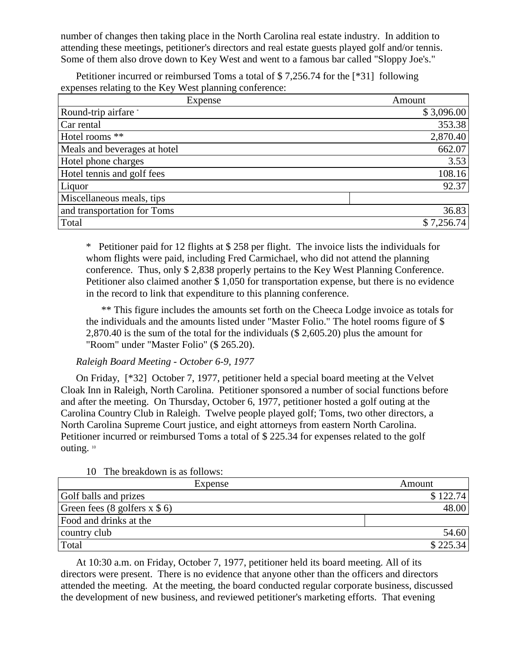number of changes then taking place in the North Carolina real estate industry. In addition to attending these meetings, petitioner's directors and real estate guests played golf and/or tennis. Some of them also drove down to Key West and went to a famous bar called "Sloppy Joe's."

Petitioner incurred or reimbursed Toms a total of \$ 7,256.74 for the [\*31] following expenses relating to the Key West planning conference:

| Expense                      | Amount     |
|------------------------------|------------|
| Round-trip airfare *         | \$3,096.00 |
| Car rental                   | 353.38     |
| Hotel rooms **               | 2,870.40   |
| Meals and beverages at hotel | 662.07     |
| Hotel phone charges          | 3.53       |
| Hotel tennis and golf fees   | 108.16     |
| Liquor                       | 92.37      |
| Miscellaneous meals, tips    |            |
| and transportation for Toms  | 36.83      |
| Total                        | \$7,256.74 |

\* Petitioner paid for 12 flights at \$ 258 per flight. The invoice lists the individuals for whom flights were paid, including Fred Carmichael, who did not attend the planning conference. Thus, only \$ 2,838 properly pertains to the Key West Planning Conference. Petitioner also claimed another \$ 1,050 for transportation expense, but there is no evidence in the record to link that expenditure to this planning conference.

\*\* This figure includes the amounts set forth on the Cheeca Lodge invoice as totals for the individuals and the amounts listed under "Master Folio." The hotel rooms figure of \$ 2,870.40 is the sum of the total for the individuals (\$ 2,605.20) plus the amount for "Room" under "Master Folio" (\$ 265.20).

# *Raleigh Board Meeting - October 6-9, 1977*

On Friday, [\*32] October 7, 1977, petitioner held a special board meeting at the Velvet Cloak Inn in Raleigh, North Carolina. Petitioner sponsored a number of social functions before and after the meeting. On Thursday, October 6, 1977, petitioner hosted a golf outing at the Carolina Country Club in Raleigh. Twelve people played golf; Toms, two other directors, a North Carolina Supreme Court justice, and eight attorneys from eastern North Carolina. Petitioner incurred or reimbursed Toms a total of \$ 225.34 for expenses related to the golf outing. <sup>10</sup>

| $\mathbf{u}$<br>THE DICANDOWIL IS AS TUITUMS.  |          |
|------------------------------------------------|----------|
| Expense                                        | Amount   |
| Golf balls and prizes                          | \$122.74 |
| Green fees $(8 \text{ golfers } x \text{ } 6)$ | 48.00    |
| Food and drinks at the                         |          |
| country club                                   | 54.60    |
| Total                                          | \$225.34 |

10 The breakdown is as follows:

At 10:30 a.m. on Friday, October 7, 1977, petitioner held its board meeting. All of its directors were present. There is no evidence that anyone other than the officers and directors attended the meeting. At the meeting, the board conducted regular corporate business, discussed the development of new business, and reviewed petitioner's marketing efforts. That evening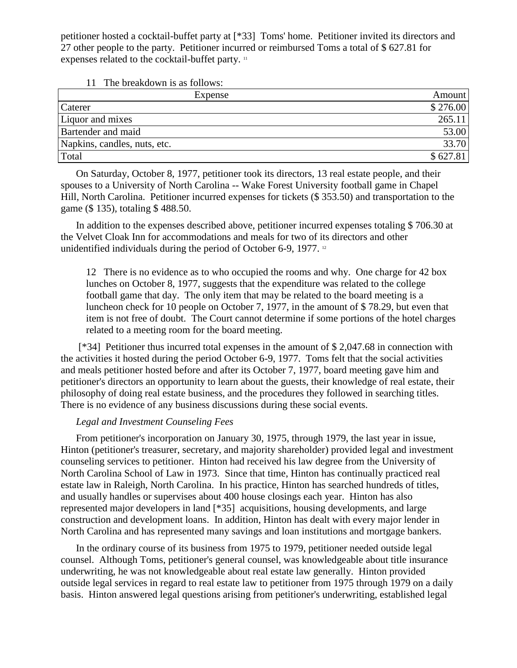petitioner hosted a cocktail-buffet party at [\*33] Toms' home. Petitioner invited its directors and 27 other people to the party. Petitioner incurred or reimbursed Toms a total of \$ 627.81 for expenses related to the cocktail-buffet party. <sup>11</sup>

11 The breakdown is as follows:

| Expense                      | Amount   |
|------------------------------|----------|
| Caterer                      | \$276.00 |
| Liquor and mixes             | 265.11   |
| <b>Bartender</b> and maid    | 53.00    |
| Napkins, candles, nuts, etc. | 33.70    |
| Total                        | \$627.81 |

On Saturday, October 8, 1977, petitioner took its directors, 13 real estate people, and their spouses to a University of North Carolina -- Wake Forest University football game in Chapel Hill, North Carolina. Petitioner incurred expenses for tickets (\$ 353.50) and transportation to the game (\$ 135), totaling \$ 488.50.

In addition to the expenses described above, petitioner incurred expenses totaling \$ 706.30 at the Velvet Cloak Inn for accommodations and meals for two of its directors and other unidentified individuals during the period of October 6-9, 1977. <sup>12</sup>

12 There is no evidence as to who occupied the rooms and why. One charge for 42 box lunches on October 8, 1977, suggests that the expenditure was related to the college football game that day. The only item that may be related to the board meeting is a luncheon check for 10 people on October 7, 1977, in the amount of \$ 78.29, but even that item is not free of doubt. The Court cannot determine if some portions of the hotel charges related to a meeting room for the board meeting.

[\*34] Petitioner thus incurred total expenses in the amount of \$ 2,047.68 in connection with the activities it hosted during the period October 6-9, 1977. Toms felt that the social activities and meals petitioner hosted before and after its October 7, 1977, board meeting gave him and petitioner's directors an opportunity to learn about the guests, their knowledge of real estate, their philosophy of doing real estate business, and the procedures they followed in searching titles. There is no evidence of any business discussions during these social events.

### *Legal and Investment Counseling Fees*

From petitioner's incorporation on January 30, 1975, through 1979, the last year in issue, Hinton (petitioner's treasurer, secretary, and majority shareholder) provided legal and investment counseling services to petitioner. Hinton had received his law degree from the University of North Carolina School of Law in 1973. Since that time, Hinton has continually practiced real estate law in Raleigh, North Carolina. In his practice, Hinton has searched hundreds of titles, and usually handles or supervises about 400 house closings each year. Hinton has also represented major developers in land [\*35] acquisitions, housing developments, and large construction and development loans. In addition, Hinton has dealt with every major lender in North Carolina and has represented many savings and loan institutions and mortgage bankers.

In the ordinary course of its business from 1975 to 1979, petitioner needed outside legal counsel. Although Toms, petitioner's general counsel, was knowledgeable about title insurance underwriting, he was not knowledgeable about real estate law generally. Hinton provided outside legal services in regard to real estate law to petitioner from 1975 through 1979 on a daily basis. Hinton answered legal questions arising from petitioner's underwriting, established legal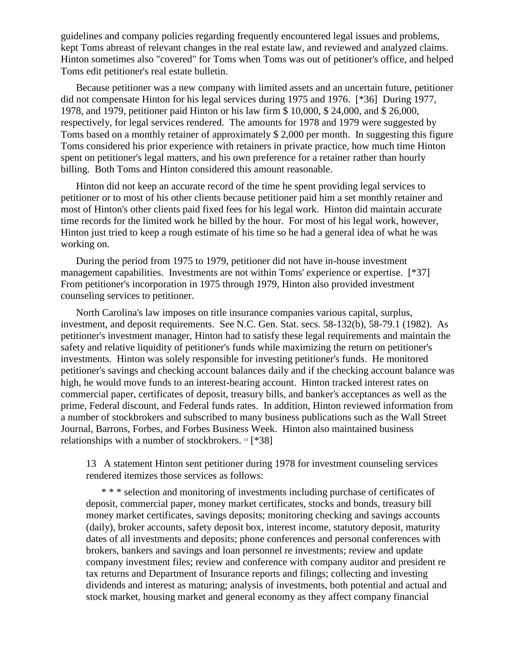guidelines and company policies regarding frequently encountered legal issues and problems, kept Toms abreast of relevant changes in the real estate law, and reviewed and analyzed claims. Hinton sometimes also "covered" for Toms when Toms was out of petitioner's office, and helped Toms edit petitioner's real estate bulletin.

Because petitioner was a new company with limited assets and an uncertain future, petitioner did not compensate Hinton for his legal services during 1975 and 1976. [\*36] During 1977, 1978, and 1979, petitioner paid Hinton or his law firm \$ 10,000, \$ 24,000, and \$ 26,000, respectively, for legal services rendered. The amounts for 1978 and 1979 were suggested by Toms based on a monthly retainer of approximately \$ 2,000 per month. In suggesting this figure Toms considered his prior experience with retainers in private practice, how much time Hinton spent on petitioner's legal matters, and his own preference for a retainer rather than hourly billing. Both Toms and Hinton considered this amount reasonable.

Hinton did not keep an accurate record of the time he spent providing legal services to petitioner or to most of his other clients because petitioner paid him a set monthly retainer and most of Hinton's other clients paid fixed fees for his legal work. Hinton did maintain accurate time records for the limited work he billed by the hour. For most of his legal work, however, Hinton just tried to keep a rough estimate of his time so he had a general idea of what he was working on.

During the period from 1975 to 1979, petitioner did not have in-house investment management capabilities. Investments are not within Toms' experience or expertise. [\*37] From petitioner's incorporation in 1975 through 1979, Hinton also provided investment counseling services to petitioner.

North Carolina's law imposes on title insurance companies various capital, surplus, investment, and deposit requirements. See N.C. Gen. Stat. secs. 58-132(b), 58-79.1 (1982). As petitioner's investment manager, Hinton had to satisfy these legal requirements and maintain the safety and relative liquidity of petitioner's funds while maximizing the return on petitioner's investments. Hinton was solely responsible for investing petitioner's funds. He monitored petitioner's savings and checking account balances daily and if the checking account balance was high, he would move funds to an interest-bearing account. Hinton tracked interest rates on commercial paper, certificates of deposit, treasury bills, and banker's acceptances as well as the prime, Federal discount, and Federal funds rates. In addition, Hinton reviewed information from a number of stockbrokers and subscribed to many business publications such as the Wall Street Journal, Barrons, Forbes, and Forbes Business Week. Hinton also maintained business relationships with a number of stockbrokers. <sup>13</sup> [\*38]

13 A statement Hinton sent petitioner during 1978 for investment counseling services rendered itemizes those services as follows:

\* \* \* selection and monitoring of investments including purchase of certificates of deposit, commercial paper, money market certificates, stocks and bonds, treasury bill money market certificates, savings deposits; monitoring checking and savings accounts (daily), broker accounts, safety deposit box, interest income, statutory deposit, maturity dates of all investments and deposits; phone conferences and personal conferences with brokers, bankers and savings and loan personnel re investments; review and update company investment files; review and conference with company auditor and president re tax returns and Department of Insurance reports and filings; collecting and investing dividends and interest as maturing; analysis of investments, both potential and actual and stock market, housing market and general economy as they affect company financial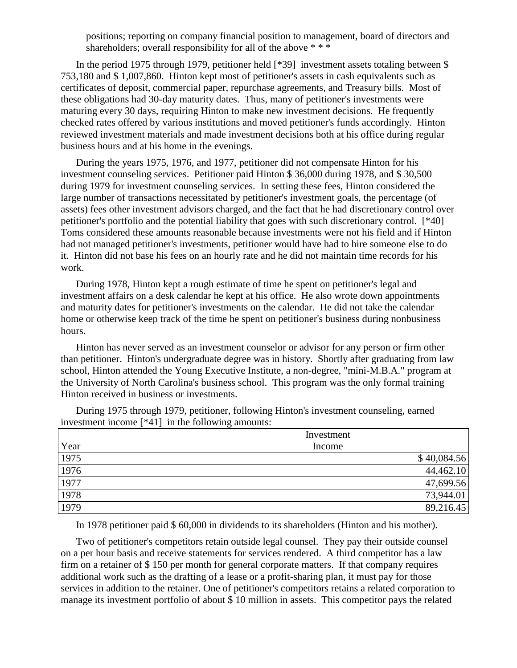positions; reporting on company financial position to management, board of directors and shareholders; overall responsibility for all of the above \*\*\*

In the period 1975 through 1979, petitioner held [\*39] investment assets totaling between \$ 753,180 and \$ 1,007,860. Hinton kept most of petitioner's assets in cash equivalents such as certificates of deposit, commercial paper, repurchase agreements, and Treasury bills. Most of these obligations had 30-day maturity dates. Thus, many of petitioner's investments were maturing every 30 days, requiring Hinton to make new investment decisions. He frequently checked rates offered by various institutions and moved petitioner's funds accordingly. Hinton reviewed investment materials and made investment decisions both at his office during regular business hours and at his home in the evenings.

During the years 1975, 1976, and 1977, petitioner did not compensate Hinton for his investment counseling services. Petitioner paid Hinton \$ 36,000 during 1978, and \$ 30,500 during 1979 for investment counseling services. In setting these fees, Hinton considered the large number of transactions necessitated by petitioner's investment goals, the percentage (of assets) fees other investment advisors charged, and the fact that he had discretionary control over petitioner's portfolio and the potential liability that goes with such discretionary control. [\*40] Toms considered these amounts reasonable because investments were not his field and if Hinton had not managed petitioner's investments, petitioner would have had to hire someone else to do it. Hinton did not base his fees on an hourly rate and he did not maintain time records for his work.

During 1978, Hinton kept a rough estimate of time he spent on petitioner's legal and investment affairs on a desk calendar he kept at his office. He also wrote down appointments and maturity dates for petitioner's investments on the calendar. He did not take the calendar home or otherwise keep track of the time he spent on petitioner's business during nonbusiness hours.

Hinton has never served as an investment counselor or advisor for any person or firm other than petitioner. Hinton's undergraduate degree was in history. Shortly after graduating from law school, Hinton attended the Young Executive Institute, a non-degree, "mini-M.B.A." program at the University of North Carolina's business school. This program was the only formal training Hinton received in business or investments.

During 1975 through 1979, petitioner, following Hinton's investment counseling, earned investment income [\*41] in the following amounts:

|      | Investment  |
|------|-------------|
| Year | Income      |
| 1975 | \$40,084.56 |
| 1976 | 44,462.10   |
| 1977 | 47,699.56   |
| 1978 | 73,944.01   |
| 1979 | 89,216.45   |

In 1978 petitioner paid \$ 60,000 in dividends to its shareholders (Hinton and his mother).

Two of petitioner's competitors retain outside legal counsel. They pay their outside counsel on a per hour basis and receive statements for services rendered. A third competitor has a law firm on a retainer of \$ 150 per month for general corporate matters. If that company requires additional work such as the drafting of a lease or a profit-sharing plan, it must pay for those services in addition to the retainer. One of petitioner's competitors retains a related corporation to manage its investment portfolio of about \$ 10 million in assets. This competitor pays the related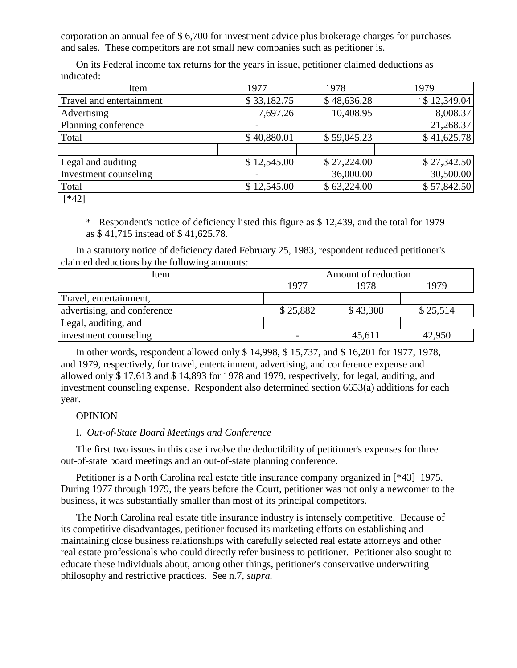corporation an annual fee of \$ 6,700 for investment advice plus brokerage charges for purchases and sales. These competitors are not small new companies such as petitioner is.

On its Federal income tax returns for the years in issue, petitioner claimed deductions as indicated:

| Item                     | 1977        | 1978        | 1979                 |
|--------------------------|-------------|-------------|----------------------|
| Travel and entertainment | \$33,182.75 | \$48,636.28 | $\cdot$ \$ 12,349.04 |
| Advertising              | 7,697.26    | 10,408.95   | 8,008.37             |
| Planning conference      |             |             | 21,268.37            |
| Total                    | \$40,880.01 | \$59,045.23 | \$41,625.78          |
|                          |             |             |                      |
| Legal and auditing       | \$12,545.00 | \$27,224.00 | \$27,342.50          |
| Investment counseling    |             | 36,000.00   | 30,500.00            |
| Total                    | \$12,545.00 | \$63,224.00 | \$57,842.50          |
| $\Gamma V 101$           |             |             |                      |

[\*42]

\* Respondent's notice of deficiency listed this figure as \$ 12,439, and the total for 1979 as \$ 41,715 instead of \$ 41,625.78.

In a statutory notice of deficiency dated February 25, 1983, respondent reduced petitioner's claimed deductions by the following amounts:

| Item                        | Amount of reduction |          |          |  |
|-----------------------------|---------------------|----------|----------|--|
|                             | 1977                | 1978     | 1979     |  |
| Travel, entertainment,      |                     |          |          |  |
| advertising, and conference | \$25,882            | \$43,308 | \$25,514 |  |
| Legal, auditing, and        |                     |          |          |  |
| investment counseling       |                     | 45,611   | 42,950   |  |

In other words, respondent allowed only \$ 14,998, \$ 15,737, and \$ 16,201 for 1977, 1978, and 1979, respectively, for travel, entertainment, advertising, and conference expense and allowed only \$ 17,613 and \$ 14,893 for 1978 and 1979, respectively, for legal, auditing, and investment counseling expense. Respondent also determined section 6653(a) additions for each year.

# OPINION

## I. *Out-of-State Board Meetings and Conference*

The first two issues in this case involve the deductibility of petitioner's expenses for three out-of-state board meetings and an out-of-state planning conference.

Petitioner is a North Carolina real estate title insurance company organized in [\*43] 1975. During 1977 through 1979, the years before the Court, petitioner was not only a newcomer to the business, it was substantially smaller than most of its principal competitors.

The North Carolina real estate title insurance industry is intensely competitive. Because of its competitive disadvantages, petitioner focused its marketing efforts on establishing and maintaining close business relationships with carefully selected real estate attorneys and other real estate professionals who could directly refer business to petitioner. Petitioner also sought to educate these individuals about, among other things, petitioner's conservative underwriting philosophy and restrictive practices. See n.7, *supra.*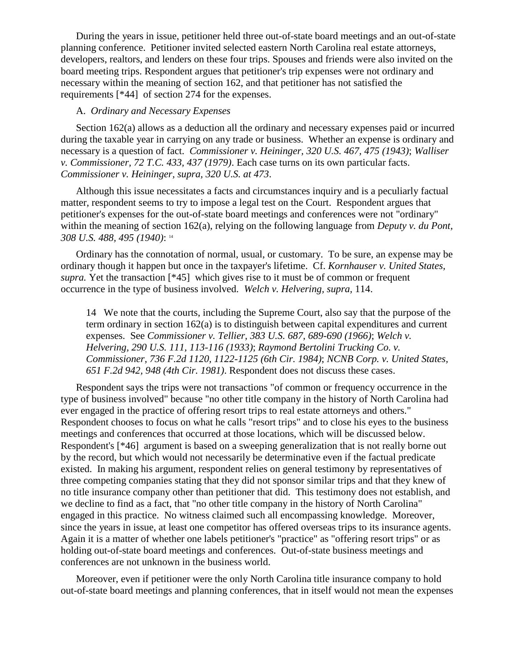During the years in issue, petitioner held three out-of-state board meetings and an out-of-state planning conference. Petitioner invited selected eastern North Carolina real estate attorneys, developers, realtors, and lenders on these four trips. Spouses and friends were also invited on the board meeting trips. Respondent argues that petitioner's trip expenses were not ordinary and necessary within the meaning of section 162, and that petitioner has not satisfied the requirements [\*44] of section 274 for the expenses.

#### A. *Ordinary and Necessary Expenses*

Section 162(a) allows as a deduction all the ordinary and necessary expenses paid or incurred during the taxable year in carrying on any trade or business. Whether an expense is ordinary and necessary is a question of fact. *Commissioner v. Heininger, 320 U.S. 467, 475 (1943)*; *Walliser v. Commissioner, 72 T.C. 433, 437 (1979)*. Each case turns on its own particular facts. *Commissioner v. Heininger, supra, 320 U.S. at 473*.

Although this issue necessitates a facts and circumstances inquiry and is a peculiarly factual matter, respondent seems to try to impose a legal test on the Court. Respondent argues that petitioner's expenses for the out-of-state board meetings and conferences were not "ordinary" within the meaning of section 162(a), relying on the following language from *Deputy v. du Pont, 308 U.S. 488, 495 (1940)*: <sup>14</sup>

Ordinary has the connotation of normal, usual, or customary. To be sure, an expense may be ordinary though it happen but once in the taxpayer's lifetime. Cf. *Kornhauser v. United States, supra.* Yet the transaction [\*45] which gives rise to it must be of common or frequent occurrence in the type of business involved. *Welch v. Helvering, supra,* 114.

14 We note that the courts, including the Supreme Court, also say that the purpose of the term ordinary in section 162(a) is to distinguish between capital expenditures and current expenses. See *Commissioner v. Tellier, 383 U.S. 687, 689-690 (1966)*; *Welch v. Helvering, 290 U.S. 111, 113-116 (1933)*; *Raymond Bertolini Trucking Co. v. Commissioner, 736 F.2d 1120, 1122-1125 (6th Cir. 1984)*; *NCNB Corp. v. United States, 651 F.2d 942, 948 (4th Cir. 1981)*. Respondent does not discuss these cases.

Respondent says the trips were not transactions "of common or frequency occurrence in the type of business involved" because "no other title company in the history of North Carolina had ever engaged in the practice of offering resort trips to real estate attorneys and others." Respondent chooses to focus on what he calls "resort trips" and to close his eyes to the business meetings and conferences that occurred at those locations, which will be discussed below. Respondent's [\*46] argument is based on a sweeping generalization that is not really borne out by the record, but which would not necessarily be determinative even if the factual predicate existed. In making his argument, respondent relies on general testimony by representatives of three competing companies stating that they did not sponsor similar trips and that they knew of no title insurance company other than petitioner that did. This testimony does not establish, and we decline to find as a fact, that "no other title company in the history of North Carolina" engaged in this practice. No witness claimed such all encompassing knowledge. Moreover, since the years in issue, at least one competitor has offered overseas trips to its insurance agents. Again it is a matter of whether one labels petitioner's "practice" as "offering resort trips" or as holding out-of-state board meetings and conferences. Out-of-state business meetings and conferences are not unknown in the business world.

Moreover, even if petitioner were the only North Carolina title insurance company to hold out-of-state board meetings and planning conferences, that in itself would not mean the expenses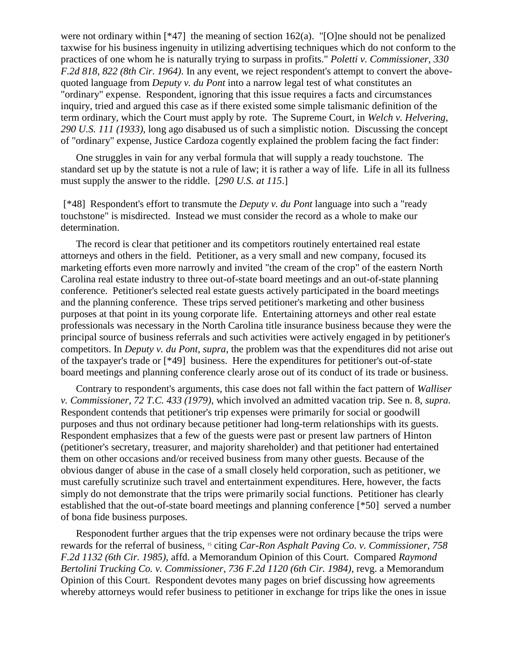were not ordinary within [\*47] the meaning of section 162(a). "[O]ne should not be penalized taxwise for his business ingenuity in utilizing advertising techniques which do not conform to the practices of one whom he is naturally trying to surpass in profits." *Poletti v. Commissioner, 330 F.2d 818, 822 (8th Cir. 1964)*. In any event, we reject respondent's attempt to convert the abovequoted language from *Deputy v. du Pont* into a narrow legal test of what constitutes an "ordinary" expense. Respondent, ignoring that this issue requires a facts and circumstances inquiry, tried and argued this case as if there existed some simple talismanic definition of the term ordinary, which the Court must apply by rote. The Supreme Court, in *Welch v. Helvering, 290 U.S. 111 (1933)*, long ago disabused us of such a simplistic notion. Discussing the concept of "ordinary" expense, Justice Cardoza cogently explained the problem facing the fact finder:

One struggles in vain for any verbal formula that will supply a ready touchstone. The standard set up by the statute is not a rule of law; it is rather a way of life. Life in all its fullness must supply the answer to the riddle. [*290 U.S. at 115*.]

[\*48] Respondent's effort to transmute the *Deputy v. du Pont* language into such a "ready touchstone" is misdirected. Instead we must consider the record as a whole to make our determination.

The record is clear that petitioner and its competitors routinely entertained real estate attorneys and others in the field. Petitioner, as a very small and new company, focused its marketing efforts even more narrowly and invited "the cream of the crop" of the eastern North Carolina real estate industry to three out-of-state board meetings and an out-of-state planning conference. Petitioner's selected real estate guests actively participated in the board meetings and the planning conference. These trips served petitioner's marketing and other business purposes at that point in its young corporate life. Entertaining attorneys and other real estate professionals was necessary in the North Carolina title insurance business because they were the principal source of business referrals and such activities were actively engaged in by petitioner's competitors. In *Deputy v. du Pont, supra,* the problem was that the expenditures did not arise out of the taxpayer's trade or [\*49] business. Here the expenditures for petitioner's out-of-state board meetings and planning conference clearly arose out of its conduct of its trade or business.

Contrary to respondent's arguments, this case does not fall within the fact pattern of *Walliser v. Commissioner, 72 T.C. 433 (1979)*, which involved an admitted vacation trip. See n. 8, *supra.* Respondent contends that petitioner's trip expenses were primarily for social or goodwill purposes and thus not ordinary because petitioner had long-term relationships with its guests. Respondent emphasizes that a few of the guests were past or present law partners of Hinton (petitioner's secretary, treasurer, and majority shareholder) and that petitioner had entertained them on other occasions and/or received business from many other guests. Because of the obvious danger of abuse in the case of a small closely held corporation, such as petitioner, we must carefully scrutinize such travel and entertainment expenditures. Here, however, the facts simply do not demonstrate that the trips were primarily social functions. Petitioner has clearly established that the out-of-state board meetings and planning conference [\*50] served a number of bona fide business purposes.

Responodent further argues that the trip expenses were not ordinary because the trips were rewards for the referral of business, <sup>15</sup> citing *Car-Ron Asphalt Paving Co. v. Commissioner, 758 F.2d 1132 (6th Cir. 1985)*, affd. a Memorandum Opinion of this Court. Compared *Raymond Bertolini Trucking Co. v. Commissioner, 736 F.2d 1120 (6th Cir. 1984)*, revg. a Memorandum Opinion of this Court. Respondent devotes many pages on brief discussing how agreements whereby attorneys would refer business to petitioner in exchange for trips like the ones in issue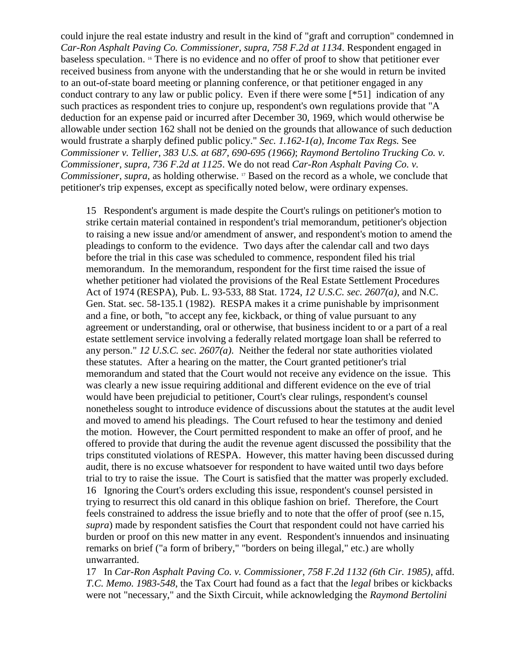could injure the real estate industry and result in the kind of "graft and corruption" condemned in *Car-Ron Asphalt Paving Co. Commissioner, supra, 758 F.2d at 1134*. Respondent engaged in baseless speculation. <sup>16</sup> There is no evidence and no offer of proof to show that petitioner ever received business from anyone with the understanding that he or she would in return be invited to an out-of-state board meeting or planning conference, or that petitioner engaged in any conduct contrary to any law or public policy. Even if there were some [\*51] indication of any such practices as respondent tries to conjure up, respondent's own regulations provide that "A deduction for an expense paid or incurred after December 30, 1969, which would otherwise be allowable under section 162 shall not be denied on the grounds that allowance of such deduction would frustrate a sharply defined public policy." *Sec. 1.162-1(a), Income Tax Regs.* See *Commissioner v. Tellier, 383 U.S. at 687, 690-695 (1966)*; *Raymond Bertolino Trucking Co. v. Commissioner, supra, 736 F.2d at 1125*. We do not read *Car-Ron Asphalt Paving Co. v. Commissioner, supra,* as holding otherwise. <sup>17</sup> Based on the record as a whole, we conclude that petitioner's trip expenses, except as specifically noted below, were ordinary expenses.

15 Respondent's argument is made despite the Court's rulings on petitioner's motion to strike certain material contained in respondent's trial memorandum, petitioner's objection to raising a new issue and/or amendment of answer, and respondent's motion to amend the pleadings to conform to the evidence. Two days after the calendar call and two days before the trial in this case was scheduled to commence, respondent filed his trial memorandum. In the memorandum, respondent for the first time raised the issue of whether petitioner had violated the provisions of the Real Estate Settlement Procedures Act of 1974 (RESPA), Pub. L. 93-533, 88 Stat. 1724, *12 U.S.C. sec. 2607(a)*, and N.C. Gen. Stat. sec. 58-135.1 (1982). RESPA makes it a crime punishable by imprisonment and a fine, or both, "to accept any fee, kickback, or thing of value pursuant to any agreement or understanding, oral or otherwise, that business incident to or a part of a real estate settlement service involving a federally related mortgage loan shall be referred to any person." *12 U.S.C. sec. 2607(a)*. Neither the federal nor state authorities violated these statutes. After a hearing on the matter, the Court granted petitioner's trial memorandum and stated that the Court would not receive any evidence on the issue. This was clearly a new issue requiring additional and different evidence on the eve of trial would have been prejudicial to petitioner, Court's clear rulings, respondent's counsel nonetheless sought to introduce evidence of discussions about the statutes at the audit level and moved to amend his pleadings. The Court refused to hear the testimony and denied the motion. However, the Court permitted respondent to make an offer of proof, and he offered to provide that during the audit the revenue agent discussed the possibility that the trips constituted violations of RESPA. However, this matter having been discussed during audit, there is no excuse whatsoever for respondent to have waited until two days before trial to try to raise the issue. The Court is satisfied that the matter was properly excluded. 16 Ignoring the Court's orders excluding this issue, respondent's counsel persisted in trying to resurrect this old canard in this oblique fashion on brief. Therefore, the Court feels constrained to address the issue briefly and to note that the offer of proof (see n.15, *supra*) made by respondent satisfies the Court that respondent could not have carried his burden or proof on this new matter in any event. Respondent's innuendos and insinuating remarks on brief ("a form of bribery," "borders on being illegal," etc.) are wholly unwarranted.

17 In *Car-Ron Asphalt Paving Co. v. Commissioner, 758 F.2d 1132 (6th Cir. 1985)*, affd. *T.C. Memo. 1983-548*, the Tax Court had found as a fact that the *legal* bribes or kickbacks were not "necessary," and the Sixth Circuit, while acknowledging the *Raymond Bertolini*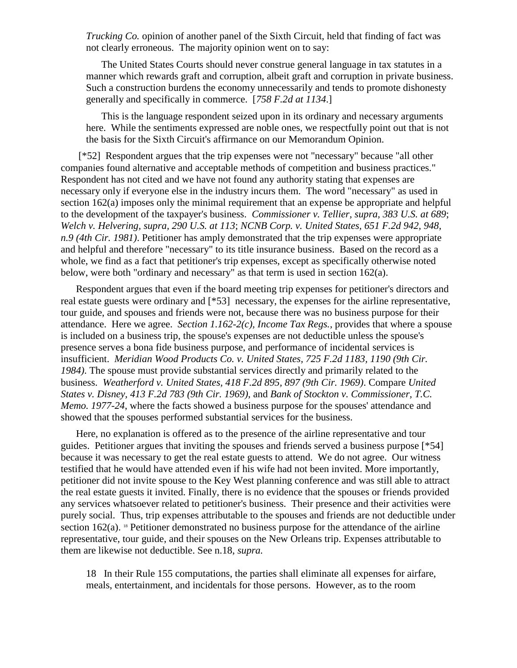*Trucking Co.* opinion of another panel of the Sixth Circuit, held that finding of fact was not clearly erroneous. The majority opinion went on to say:

The United States Courts should never construe general language in tax statutes in a manner which rewards graft and corruption, albeit graft and corruption in private business. Such a construction burdens the economy unnecessarily and tends to promote dishonesty generally and specifically in commerce. [*758 F.2d at 1134*.]

This is the language respondent seized upon in its ordinary and necessary arguments here. While the sentiments expressed are noble ones, we respectfully point out that is not the basis for the Sixth Circuit's affirmance on our Memorandum Opinion.

[\*52] Respondent argues that the trip expenses were not "necessary" because "all other companies found alternative and acceptable methods of competition and business practices." Respondent has not cited and we have not found any authority stating that expenses are necessary only if everyone else in the industry incurs them. The word "necessary" as used in section 162(a) imposes only the minimal requirement that an expense be appropriate and helpful to the development of the taxpayer's business. *Commissioner v. Tellier, supra, 383 U.S. at 689*; *Welch v. Helvering, supra, 290 U.S. at 113*; *NCNB Corp. v. United States, 651 F.2d 942, 948, n.9 (4th Cir. 1981)*. Petitioner has amply demonstrated that the trip expenses were appropriate and helpful and therefore "necessary" to its title insurance business. Based on the record as a whole, we find as a fact that petitioner's trip expenses, except as specifically otherwise noted below, were both "ordinary and necessary" as that term is used in section 162(a).

Respondent argues that even if the board meeting trip expenses for petitioner's directors and real estate guests were ordinary and [\*53] necessary, the expenses for the airline representative, tour guide, and spouses and friends were not, because there was no business purpose for their attendance. Here we agree. *Section 1.162-2(c), Income Tax Regs.*, provides that where a spouse is included on a business trip, the spouse's expenses are not deductible unless the spouse's presence serves a bona fide business purpose, and performance of incidental services is insufficient. *Meridian Wood Products Co. v. United States, 725 F.2d 1183, 1190 (9th Cir. 1984)*. The spouse must provide substantial services directly and primarily related to the business. *Weatherford v. United States, 418 F.2d 895, 897 (9th Cir. 1969)*. Compare *United States v. Disney, 413 F.2d 783 (9th Cir. 1969)*, and *Bank of Stockton v. Commissioner, T.C. Memo. 1977-24*, where the facts showed a business purpose for the spouses' attendance and showed that the spouses performed substantial services for the business.

Here, no explanation is offered as to the presence of the airline representative and tour guides. Petitioner argues that inviting the spouses and friends served a business purpose [\*54] because it was necessary to get the real estate guests to attend. We do not agree. Our witness testified that he would have attended even if his wife had not been invited. More importantly, petitioner did not invite spouse to the Key West planning conference and was still able to attract the real estate guests it invited. Finally, there is no evidence that the spouses or friends provided any services whatsoever related to petitioner's business. Their presence and their activities were purely social. Thus, trip expenses attributable to the spouses and friends are not deductible under section  $162(a)$ . <sup>18</sup> Petitioner demonstrated no business purpose for the attendance of the airline representative, tour guide, and their spouses on the New Orleans trip. Expenses attributable to them are likewise not deductible. See n.18, *supra.*

18 In their Rule 155 computations, the parties shall eliminate all expenses for airfare, meals, entertainment, and incidentals for those persons. However, as to the room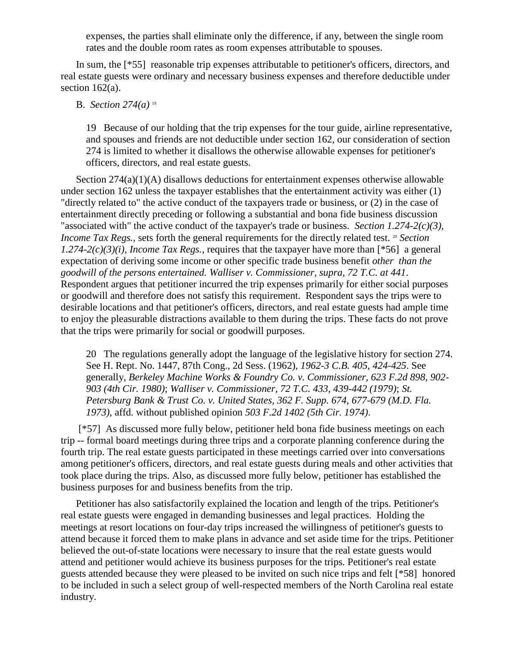expenses, the parties shall eliminate only the difference, if any, between the single room rates and the double room rates as room expenses attributable to spouses.

In sum, the [\*55] reasonable trip expenses attributable to petitioner's officers, directors, and real estate guests were ordinary and necessary business expenses and therefore deductible under section  $162(a)$ .

## B. *Section 274(a)* <sup>19</sup>

19 Because of our holding that the trip expenses for the tour guide, airline representative, and spouses and friends are not deductible under section 162, our consideration of section 274 is limited to whether it disallows the otherwise allowable expenses for petitioner's officers, directors, and real estate guests.

Section  $274(a)(1)(A)$  disallows deductions for entertainment expenses otherwise allowable under section 162 unless the taxpayer establishes that the entertainment activity was either (1) "directly related to" the active conduct of the taxpayers trade or business, or (2) in the case of entertainment directly preceding or following a substantial and bona fide business discussion "associated with" the active conduct of the taxpayer's trade or business. *Section 1.274-2(c)(3), Income Tax Regs.*, sets forth the general requirements for the directly related test. <sup>20</sup> *Section 1.274-2(c)(3)(i), Income Tax Regs.*, requires that the taxpayer have more than  $[{}^{*}56]$  a general expectation of deriving some income or other specific trade business benefit *other than the goodwill of the persons entertained. Walliser v. Commissioner, supra, 72 T.C. at 441*. Respondent argues that petitioner incurred the trip expenses primarily for either social purposes or goodwill and therefore does not satisfy this requirement. Respondent says the trips were to desirable locations and that petitioner's officers, directors, and real estate guests had ample time to enjoy the pleasurable distractions available to them during the trips. These facts do not prove that the trips were primarily for social or goodwill purposes.

20 The regulations generally adopt the language of the legislative history for section 274. See H. Rept. No. 1447, 87th Cong., 2d Sess. (1962), *1962-3 C.B. 405, 424-425*. See generally, *Berkeley Machine Works & Foundry Co. v. Commissioner, 623 F.2d 898, 902- 903 (4th Cir. 1980)*; *Walliser v. Commissioner, 72 T.C. 433, 439-442 (1979)*; *St. Petersburg Bank & Trust Co. v. United States, 362 F. Supp. 674, 677-679 (M.D. Fla. 1973)*, affd. without published opinion *503 F.2d 1402 (5th Cir. 1974)*.

[\*57] As discussed more fully below, petitioner held bona fide business meetings on each trip -- formal board meetings during three trips and a corporate planning conference during the fourth trip. The real estate guests participated in these meetings carried over into conversations among petitioner's officers, directors, and real estate guests during meals and other activities that took place during the trips. Also, as discussed more fully below, petitioner has established the business purposes for and business benefits from the trip.

Petitioner has also satisfactorily explained the location and length of the trips. Petitioner's real estate guests were engaged in demanding businesses and legal practices. Holding the meetings at resort locations on four-day trips increased the willingness of petitioner's guests to attend because it forced them to make plans in advance and set aside time for the trips. Petitioner believed the out-of-state locations were necessary to insure that the real estate guests would attend and petitioner would achieve its business purposes for the trips. Petitioner's real estate guests attended because they were pleased to be invited on such nice trips and felt [\*58] honored to be included in such a select group of well-respected members of the North Carolina real estate industry.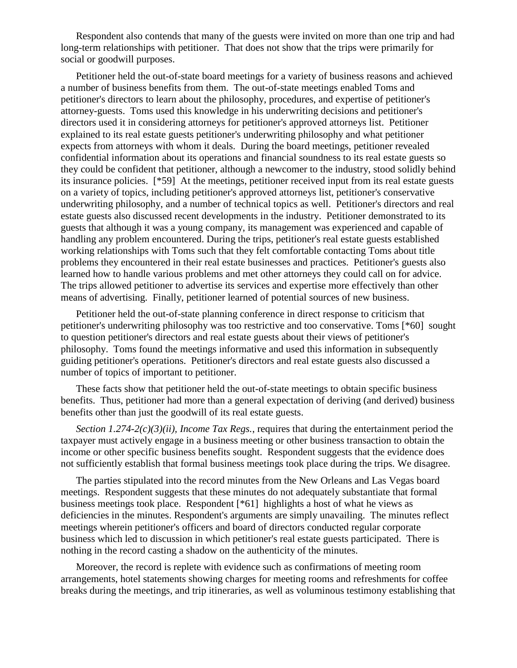Respondent also contends that many of the guests were invited on more than one trip and had long-term relationships with petitioner. That does not show that the trips were primarily for social or goodwill purposes.

Petitioner held the out-of-state board meetings for a variety of business reasons and achieved a number of business benefits from them. The out-of-state meetings enabled Toms and petitioner's directors to learn about the philosophy, procedures, and expertise of petitioner's attorney-guests. Toms used this knowledge in his underwriting decisions and petitioner's directors used it in considering attorneys for petitioner's approved attorneys list. Petitioner explained to its real estate guests petitioner's underwriting philosophy and what petitioner expects from attorneys with whom it deals. During the board meetings, petitioner revealed confidential information about its operations and financial soundness to its real estate guests so they could be confident that petitioner, although a newcomer to the industry, stood solidly behind its insurance policies. [\*59] At the meetings, petitioner received input from its real estate guests on a variety of topics, including petitioner's approved attorneys list, petitioner's conservative underwriting philosophy, and a number of technical topics as well. Petitioner's directors and real estate guests also discussed recent developments in the industry. Petitioner demonstrated to its guests that although it was a young company, its management was experienced and capable of handling any problem encountered. During the trips, petitioner's real estate guests established working relationships with Toms such that they felt comfortable contacting Toms about title problems they encountered in their real estate businesses and practices. Petitioner's guests also learned how to handle various problems and met other attorneys they could call on for advice. The trips allowed petitioner to advertise its services and expertise more effectively than other means of advertising. Finally, petitioner learned of potential sources of new business.

Petitioner held the out-of-state planning conference in direct response to criticism that petitioner's underwriting philosophy was too restrictive and too conservative. Toms [\*60] sought to question petitioner's directors and real estate guests about their views of petitioner's philosophy. Toms found the meetings informative and used this information in subsequently guiding petitioner's operations. Petitioner's directors and real estate guests also discussed a number of topics of important to petitioner.

These facts show that petitioner held the out-of-state meetings to obtain specific business benefits. Thus, petitioner had more than a general expectation of deriving (and derived) business benefits other than just the goodwill of its real estate guests.

*Section 1.274-2(c)(3)(ii), Income Tax Regs.*, requires that during the entertainment period the taxpayer must actively engage in a business meeting or other business transaction to obtain the income or other specific business benefits sought. Respondent suggests that the evidence does not sufficiently establish that formal business meetings took place during the trips. We disagree.

The parties stipulated into the record minutes from the New Orleans and Las Vegas board meetings. Respondent suggests that these minutes do not adequately substantiate that formal business meetings took place. Respondent [\*61] highlights a host of what he views as deficiencies in the minutes. Respondent's arguments are simply unavailing. The minutes reflect meetings wherein petitioner's officers and board of directors conducted regular corporate business which led to discussion in which petitioner's real estate guests participated. There is nothing in the record casting a shadow on the authenticity of the minutes.

Moreover, the record is replete with evidence such as confirmations of meeting room arrangements, hotel statements showing charges for meeting rooms and refreshments for coffee breaks during the meetings, and trip itineraries, as well as voluminous testimony establishing that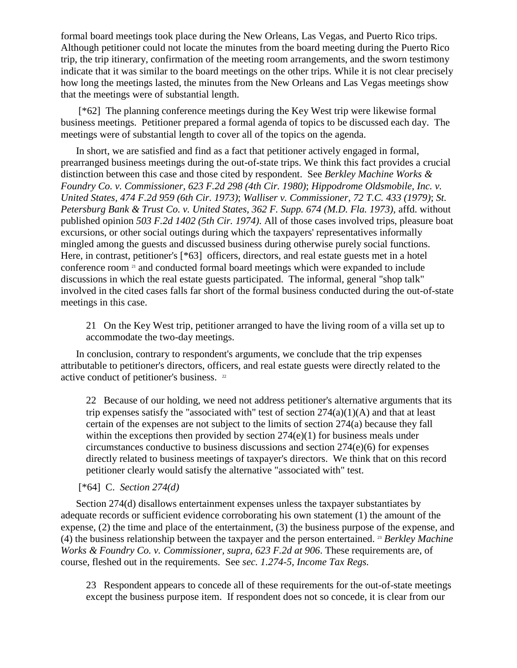formal board meetings took place during the New Orleans, Las Vegas, and Puerto Rico trips. Although petitioner could not locate the minutes from the board meeting during the Puerto Rico trip, the trip itinerary, confirmation of the meeting room arrangements, and the sworn testimony indicate that it was similar to the board meetings on the other trips. While it is not clear precisely how long the meetings lasted, the minutes from the New Orleans and Las Vegas meetings show that the meetings were of substantial length.

[\*62] The planning conference meetings during the Key West trip were likewise formal business meetings. Petitioner prepared a formal agenda of topics to be discussed each day. The meetings were of substantial length to cover all of the topics on the agenda.

In short, we are satisfied and find as a fact that petitioner actively engaged in formal, prearranged business meetings during the out-of-state trips. We think this fact provides a crucial distinction between this case and those cited by respondent. See *Berkley Machine Works & Foundry Co. v. Commissioner, 623 F.2d 298 (4th Cir. 1980)*; *Hippodrome Oldsmobile, Inc. v. United States, 474 F.2d 959 (6th Cir. 1973)*; *Walliser v. Commissioner, 72 T.C. 433 (1979)*; *St. Petersburg Bank & Trust Co. v. United States, 362 F. Supp. 674 (M.D. Fla. 1973)*, affd. without published opinion *503 F.2d 1402 (5th Cir. 1974)*. All of those cases involved trips, pleasure boat excursions, or other social outings during which the taxpayers' representatives informally mingled among the guests and discussed business during otherwise purely social functions. Here, in contrast, petitioner's [\*63] officers, directors, and real estate guests met in a hotel conference room <sup>21</sup> and conducted formal board meetings which were expanded to include discussions in which the real estate guests participated. The informal, general "shop talk" involved in the cited cases falls far short of the formal business conducted during the out-of-state meetings in this case.

21 On the Key West trip, petitioner arranged to have the living room of a villa set up to accommodate the two-day meetings.

In conclusion, contrary to respondent's arguments, we conclude that the trip expenses attributable to petitioner's directors, officers, and real estate guests were directly related to the active conduct of petitioner's business. <sup>22</sup>

22 Because of our holding, we need not address petitioner's alternative arguments that its trip expenses satisfy the "associated with" test of section  $274(a)(1)(A)$  and that at least certain of the expenses are not subject to the limits of section 274(a) because they fall within the exceptions then provided by section  $274(e)(1)$  for business meals under circumstances conductive to business discussions and section 274(e)(6) for expenses directly related to business meetings of taxpayer's directors. We think that on this record petitioner clearly would satisfy the alternative "associated with" test.

[\*64] C. *Section 274(d)*

Section 274(d) disallows entertainment expenses unless the taxpayer substantiates by adequate records or sufficient evidence corroborating his own statement (1) the amount of the expense, (2) the time and place of the entertainment, (3) the business purpose of the expense, and (4) the business relationship between the taxpayer and the person entertained. <sup>23</sup> *Berkley Machine Works & Foundry Co. v. Commissioner, supra, 623 F.2d at 906*. These requirements are, of course, fleshed out in the requirements. See *sec. 1.274-5, Income Tax Regs.*

23 Respondent appears to concede all of these requirements for the out-of-state meetings except the business purpose item. If respondent does not so concede, it is clear from our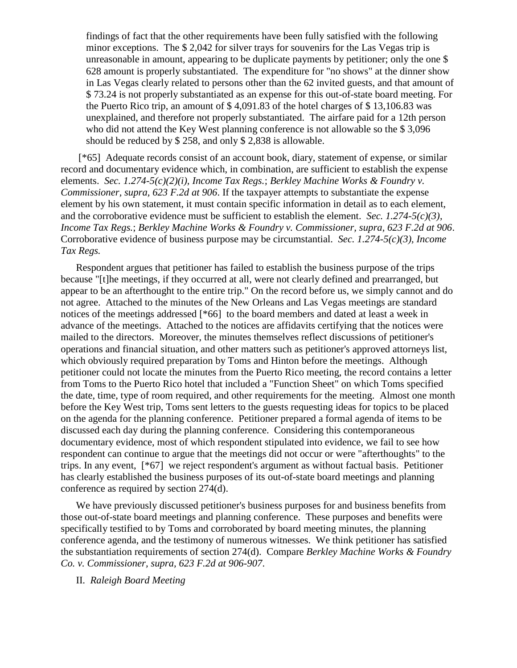findings of fact that the other requirements have been fully satisfied with the following minor exceptions. The \$ 2,042 for silver trays for souvenirs for the Las Vegas trip is unreasonable in amount, appearing to be duplicate payments by petitioner; only the one \$ 628 amount is properly substantiated. The expenditure for "no shows" at the dinner show in Las Vegas clearly related to persons other than the 62 invited guests, and that amount of \$ 73.24 is not properly substantiated as an expense for this out-of-state board meeting. For the Puerto Rico trip, an amount of \$ 4,091.83 of the hotel charges of \$ 13,106.83 was unexplained, and therefore not properly substantiated. The airfare paid for a 12th person who did not attend the Key West planning conference is not allowable so the \$ 3,096 should be reduced by \$ 258, and only \$ 2,838 is allowable.

[\*65] Adequate records consist of an account book, diary, statement of expense, or similar record and documentary evidence which, in combination, are sufficient to establish the expense elements. *Sec. 1.274-5(c)(2)(i), Income Tax Regs.*; *Berkley Machine Works & Foundry v. Commissioner, supra, 623 F.2d at 906*. If the taxpayer attempts to substantiate the expense element by his own statement, it must contain specific information in detail as to each element, and the corroborative evidence must be sufficient to establish the element. *Sec. 1.274-5(c)(3), Income Tax Regs.*; *Berkley Machine Works & Foundry v. Commissioner, supra, 623 F.2d at 906*. Corroborative evidence of business purpose may be circumstantial. *Sec. 1.274-5(c)(3), Income Tax Regs.*

Respondent argues that petitioner has failed to establish the business purpose of the trips because "[t]he meetings, if they occurred at all, were not clearly defined and prearranged, but appear to be an afterthought to the entire trip." On the record before us, we simply cannot and do not agree. Attached to the minutes of the New Orleans and Las Vegas meetings are standard notices of the meetings addressed [\*66] to the board members and dated at least a week in advance of the meetings. Attached to the notices are affidavits certifying that the notices were mailed to the directors. Moreover, the minutes themselves reflect discussions of petitioner's operations and financial situation, and other matters such as petitioner's approved attorneys list, which obviously required preparation by Toms and Hinton before the meetings. Although petitioner could not locate the minutes from the Puerto Rico meeting, the record contains a letter from Toms to the Puerto Rico hotel that included a "Function Sheet" on which Toms specified the date, time, type of room required, and other requirements for the meeting. Almost one month before the Key West trip, Toms sent letters to the guests requesting ideas for topics to be placed on the agenda for the planning conference. Petitioner prepared a formal agenda of items to be discussed each day during the planning conference. Considering this contemporaneous documentary evidence, most of which respondent stipulated into evidence, we fail to see how respondent can continue to argue that the meetings did not occur or were "afterthoughts" to the trips. In any event, [\*67] we reject respondent's argument as without factual basis. Petitioner has clearly established the business purposes of its out-of-state board meetings and planning conference as required by section 274(d).

We have previously discussed petitioner's business purposes for and business benefits from those out-of-state board meetings and planning conference. These purposes and benefits were specifically testified to by Toms and corroborated by board meeting minutes, the planning conference agenda, and the testimony of numerous witnesses. We think petitioner has satisfied the substantiation requirements of section 274(d). Compare *Berkley Machine Works & Foundry Co. v. Commissioner, supra, 623 F.2d at 906-907*.

II. *Raleigh Board Meeting*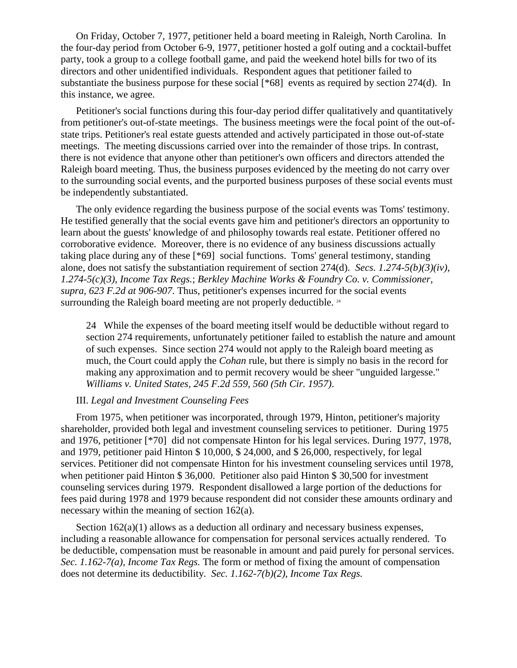On Friday, October 7, 1977, petitioner held a board meeting in Raleigh, North Carolina. In the four-day period from October 6-9, 1977, petitioner hosted a golf outing and a cocktail-buffet party, took a group to a college football game, and paid the weekend hotel bills for two of its directors and other unidentified individuals. Respondent agues that petitioner failed to substantiate the business purpose for these social [\*68] events as required by section 274(d). In this instance, we agree.

Petitioner's social functions during this four-day period differ qualitatively and quantitatively from petitioner's out-of-state meetings. The business meetings were the focal point of the out-ofstate trips. Petitioner's real estate guests attended and actively participated in those out-of-state meetings. The meeting discussions carried over into the remainder of those trips. In contrast, there is not evidence that anyone other than petitioner's own officers and directors attended the Raleigh board meeting. Thus, the business purposes evidenced by the meeting do not carry over to the surrounding social events, and the purported business purposes of these social events must be independently substantiated.

The only evidence regarding the business purpose of the social events was Toms' testimony. He testified generally that the social events gave him and petitioner's directors an opportunity to learn about the guests' knowledge of and philosophy towards real estate. Petitioner offered no corroborative evidence. Moreover, there is no evidence of any business discussions actually taking place during any of these [\*69] social functions. Toms' general testimony, standing alone, does not satisfy the substantiation requirement of section 274(d). *Secs. 1.274-5(b)(3)(iv)*, *1.274-5(c)(3), Income Tax Regs.*; *Berkley Machine Works & Foundry Co. v. Commissioner, supra, 623 F.2d at 906-907*. Thus, petitioner's expenses incurred for the social events surrounding the Raleigh board meeting are not properly deductible.<sup>24</sup>

24 While the expenses of the board meeting itself would be deductible without regard to section 274 requirements, unfortunately petitioner failed to establish the nature and amount of such expenses. Since section 274 would not apply to the Raleigh board meeting as much, the Court could apply the *Cohan* rule, but there is simply no basis in the record for making any approximation and to permit recovery would be sheer "unguided largesse." *Williams v. United States, 245 F.2d 559, 560 (5th Cir. 1957)*.

### III. *Legal and Investment Counseling Fees*

From 1975, when petitioner was incorporated, through 1979, Hinton, petitioner's majority shareholder, provided both legal and investment counseling services to petitioner. During 1975 and 1976, petitioner [\*70] did not compensate Hinton for his legal services. During 1977, 1978, and 1979, petitioner paid Hinton \$ 10,000, \$ 24,000, and \$ 26,000, respectively, for legal services. Petitioner did not compensate Hinton for his investment counseling services until 1978, when petitioner paid Hinton \$ 36,000. Petitioner also paid Hinton \$ 30,500 for investment counseling services during 1979. Respondent disallowed a large portion of the deductions for fees paid during 1978 and 1979 because respondent did not consider these amounts ordinary and necessary within the meaning of section 162(a).

Section  $162(a)(1)$  allows as a deduction all ordinary and necessary business expenses, including a reasonable allowance for compensation for personal services actually rendered. To be deductible, compensation must be reasonable in amount and paid purely for personal services. *Sec. 1.162-7(a), Income Tax Regs.* The form or method of fixing the amount of compensation does not determine its deductibility. *Sec. 1.162-7(b)(2), Income Tax Regs.*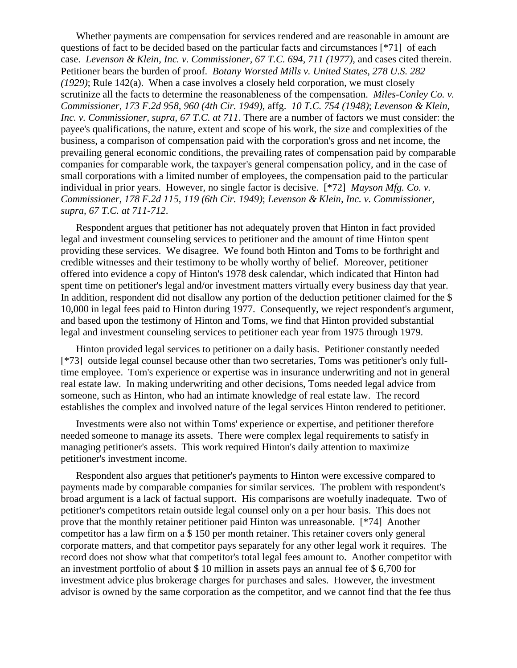Whether payments are compensation for services rendered and are reasonable in amount are questions of fact to be decided based on the particular facts and circumstances [\*71] of each case. *Levenson & Klein, Inc. v. Commissioner, 67 T.C. 694, 711 (1977)*, and cases cited therein. Petitioner bears the burden of proof. *Botany Worsted Mills v. United States, 278 U.S. 282 (1929)*; Rule 142(a). When a case involves a closely held corporation, we must closely scrutinize all the facts to determine the reasonableness of the compensation. *Miles-Conley Co. v. Commissioner, 173 F.2d 958, 960 (4th Cir. 1949)*, affg. *10 T.C. 754 (1948)*; *Levenson & Klein, Inc. v. Commissioner, supra, 67 T.C. at 711*. There are a number of factors we must consider: the payee's qualifications, the nature, extent and scope of his work, the size and complexities of the business, a comparison of compensation paid with the corporation's gross and net income, the prevailing general economic conditions, the prevailing rates of compensation paid by comparable companies for comparable work, the taxpayer's general compensation policy, and in the case of small corporations with a limited number of employees, the compensation paid to the particular individual in prior years. However, no single factor is decisive. [\*72] *Mayson Mfg. Co. v. Commissioner, 178 F.2d 115, 119 (6th Cir. 1949)*; *Levenson & Klein, Inc. v. Commissioner, supra, 67 T.C. at 711-712*.

Respondent argues that petitioner has not adequately proven that Hinton in fact provided legal and investment counseling services to petitioner and the amount of time Hinton spent providing these services. We disagree. We found both Hinton and Toms to be forthright and credible witnesses and their testimony to be wholly worthy of belief. Moreover, petitioner offered into evidence a copy of Hinton's 1978 desk calendar, which indicated that Hinton had spent time on petitioner's legal and/or investment matters virtually every business day that year. In addition, respondent did not disallow any portion of the deduction petitioner claimed for the \$ 10,000 in legal fees paid to Hinton during 1977. Consequently, we reject respondent's argument, and based upon the testimony of Hinton and Toms, we find that Hinton provided substantial legal and investment counseling services to petitioner each year from 1975 through 1979.

Hinton provided legal services to petitioner on a daily basis. Petitioner constantly needed [\*73] outside legal counsel because other than two secretaries, Toms was petitioner's only fulltime employee. Tom's experience or expertise was in insurance underwriting and not in general real estate law. In making underwriting and other decisions, Toms needed legal advice from someone, such as Hinton, who had an intimate knowledge of real estate law. The record establishes the complex and involved nature of the legal services Hinton rendered to petitioner.

Investments were also not within Toms' experience or expertise, and petitioner therefore needed someone to manage its assets. There were complex legal requirements to satisfy in managing petitioner's assets. This work required Hinton's daily attention to maximize petitioner's investment income.

Respondent also argues that petitioner's payments to Hinton were excessive compared to payments made by comparable companies for similar services. The problem with respondent's broad argument is a lack of factual support. His comparisons are woefully inadequate. Two of petitioner's competitors retain outside legal counsel only on a per hour basis. This does not prove that the monthly retainer petitioner paid Hinton was unreasonable. [\*74] Another competitor has a law firm on a \$ 150 per month retainer. This retainer covers only general corporate matters, and that competitor pays separately for any other legal work it requires. The record does not show what that competitor's total legal fees amount to. Another competitor with an investment portfolio of about \$ 10 million in assets pays an annual fee of \$ 6,700 for investment advice plus brokerage charges for purchases and sales. However, the investment advisor is owned by the same corporation as the competitor, and we cannot find that the fee thus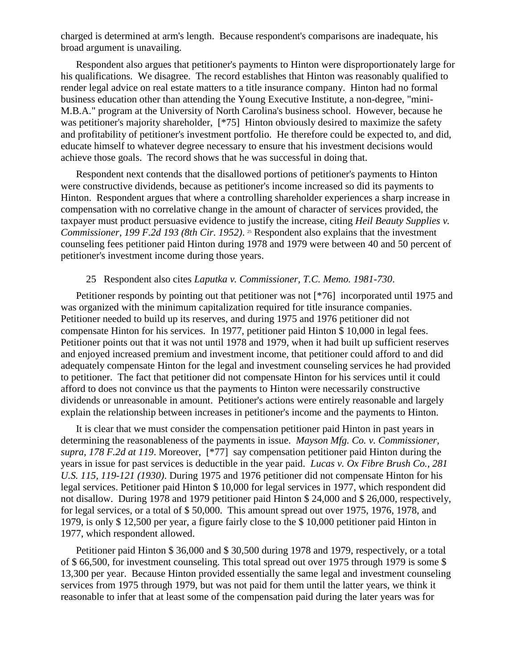charged is determined at arm's length. Because respondent's comparisons are inadequate, his broad argument is unavailing.

Respondent also argues that petitioner's payments to Hinton were disproportionately large for his qualifications. We disagree. The record establishes that Hinton was reasonably qualified to render legal advice on real estate matters to a title insurance company. Hinton had no formal business education other than attending the Young Executive Institute, a non-degree, "mini-M.B.A." program at the University of North Carolina's business school. However, because he was petitioner's majority shareholder, [\*75] Hinton obviously desired to maximize the safety and profitability of petitioner's investment portfolio. He therefore could be expected to, and did, educate himself to whatever degree necessary to ensure that his investment decisions would achieve those goals. The record shows that he was successful in doing that.

Respondent next contends that the disallowed portions of petitioner's payments to Hinton were constructive dividends, because as petitioner's income increased so did its payments to Hinton. Respondent argues that where a controlling shareholder experiences a sharp increase in compensation with no correlative change in the amount of character of services provided, the taxpayer must product persuasive evidence to justify the increase, citing *Heil Beauty Supplies v. Commissioner, 199 F.2d 193 (8th Cir. 1952)*. <sup>25</sup> Respondent also explains that the investment counseling fees petitioner paid Hinton during 1978 and 1979 were between 40 and 50 percent of petitioner's investment income during those years.

#### 25 Respondent also cites *Laputka v. Commissioner, T.C. Memo. 1981-730*.

Petitioner responds by pointing out that petitioner was not [\*76] incorporated until 1975 and was organized with the minimum capitalization required for title insurance companies. Petitioner needed to build up its reserves, and during 1975 and 1976 petitioner did not compensate Hinton for his services. In 1977, petitioner paid Hinton \$ 10,000 in legal fees. Petitioner points out that it was not until 1978 and 1979, when it had built up sufficient reserves and enjoyed increased premium and investment income, that petitioner could afford to and did adequately compensate Hinton for the legal and investment counseling services he had provided to petitioner. The fact that petitioner did not compensate Hinton for his services until it could afford to does not convince us that the payments to Hinton were necessarily constructive dividends or unreasonable in amount. Petitioner's actions were entirely reasonable and largely explain the relationship between increases in petitioner's income and the payments to Hinton.

It is clear that we must consider the compensation petitioner paid Hinton in past years in determining the reasonableness of the payments in issue. *Mayson Mfg. Co. v. Commissioner, supra, 178 F.2d at 119*. Moreover, [\*77] say compensation petitioner paid Hinton during the years in issue for past services is deductible in the year paid. *Lucas v. Ox Fibre Brush Co., 281 U.S. 115, 119-121 (1930)*. During 1975 and 1976 petitioner did not compensate Hinton for his legal services. Petitioner paid Hinton \$ 10,000 for legal services in 1977, which respondent did not disallow. During 1978 and 1979 petitioner paid Hinton \$ 24,000 and \$ 26,000, respectively, for legal services, or a total of \$ 50,000. This amount spread out over 1975, 1976, 1978, and 1979, is only \$ 12,500 per year, a figure fairly close to the \$ 10,000 petitioner paid Hinton in 1977, which respondent allowed.

Petitioner paid Hinton \$ 36,000 and \$ 30,500 during 1978 and 1979, respectively, or a total of \$ 66,500, for investment counseling. This total spread out over 1975 through 1979 is some \$ 13,300 per year. Because Hinton provided essentially the same legal and investment counseling services from 1975 through 1979, but was not paid for them until the latter years, we think it reasonable to infer that at least some of the compensation paid during the later years was for